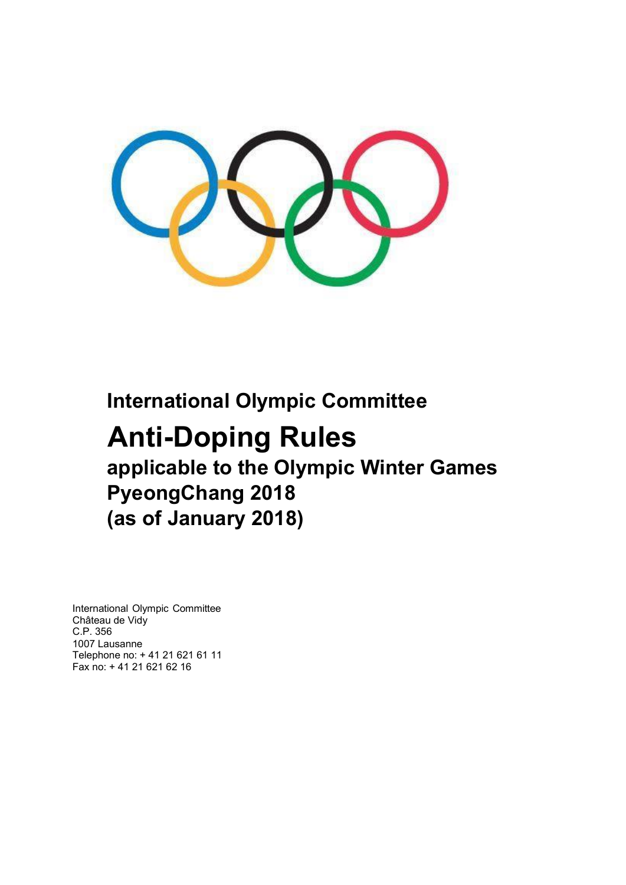

## **International Olympic Committee**

# **Anti-Doping Rules applicable to the Olympic Winter Games PyeongChang 2018 (as of January 2018)**

International Olympic Committee Château de Vidy C.P. 356 1007 Lausanne Telephone no: + 41 21 621 61 11 Fax no: + 41 21 621 62 16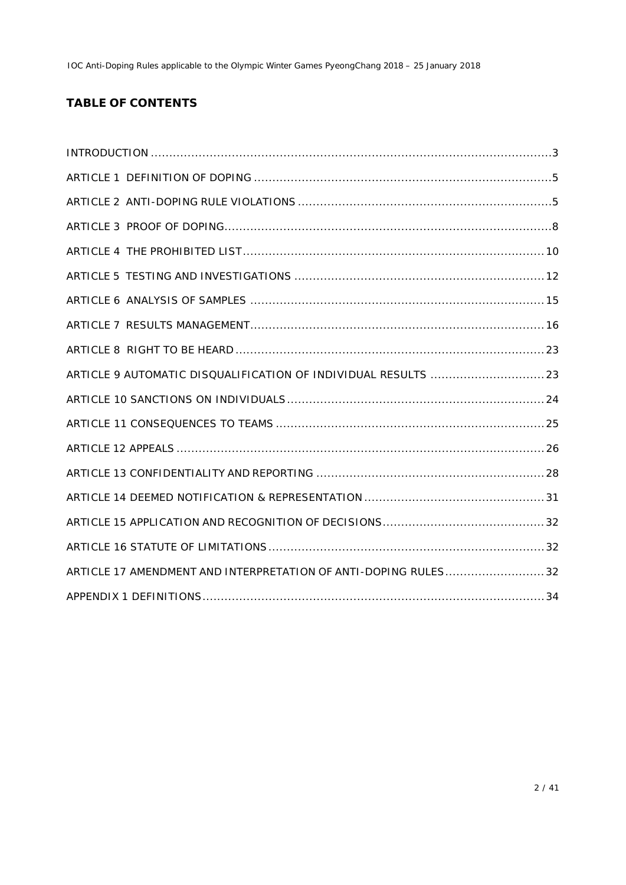## **TABLE OF CONTENTS**

| ARTICLE 17 AMENDMENT AND INTERPRETATION OF ANTI-DOPING RULES 32 |
|-----------------------------------------------------------------|
|                                                                 |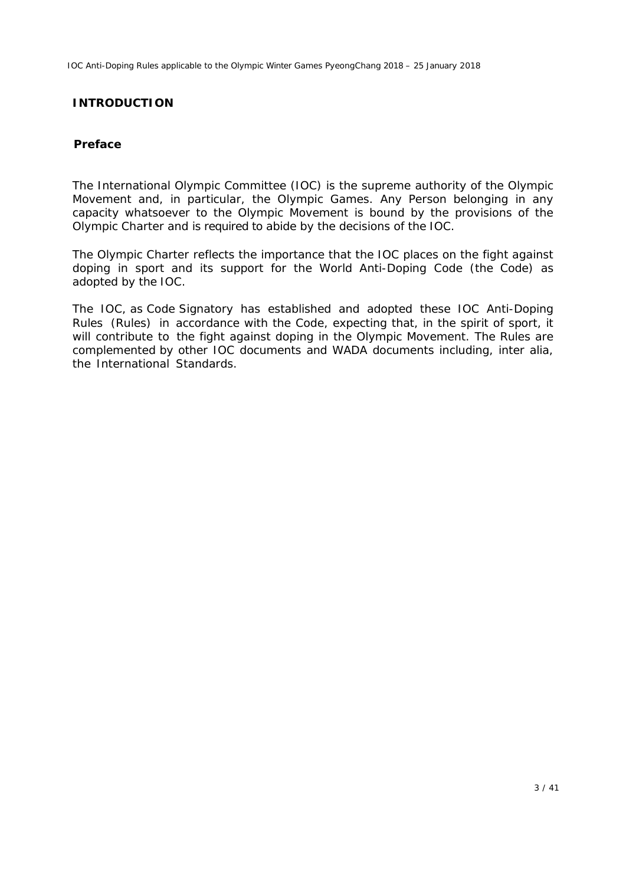#### **INTRODUCTION**

#### **Preface**

The *International Olympic Committee* (*IOC*) is the supreme authority of the Olympic Movement and, in particular, the Olympic Games. Any *Person* belonging in any capacity whatsoever to the Olympic Movement is bound by the provisions of the Olympic Charter and is required to abide by the decisions of the *IOC*.

The Olympic Charter reflects the importance that the *IOC* places on the fight against doping in sport and its support for the World Anti-Doping Code (the *Code*) as adopted by the *IOC.*

The *IOC*, as *Code Signatory* has established and adopted these *IOC* Anti-Doping Rules *(Rules)* in accordance with the *Code*, expecting that, in the spirit of sport, it will contribute to the fight against doping in the Olympic Movement. The *Rules are*  complemented by other *IOC* documents and *WADA* documents including, inter alia, the *International Standards*.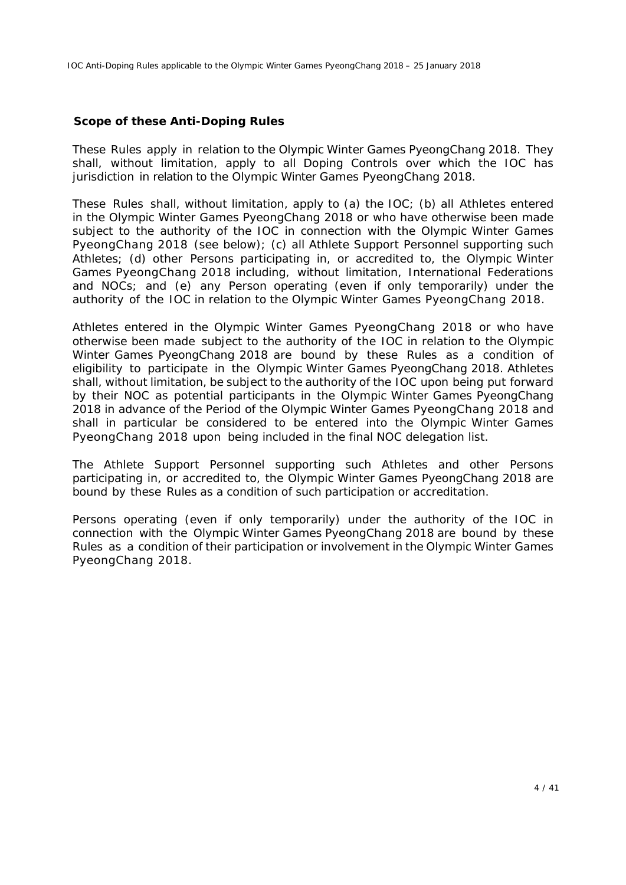#### **Scope of these Anti-Doping Rules**

These *Rules* apply in relation to *the Olympic Winter Games PyeongChang 2018*. They shall, without limitation, apply to all *Doping Controls* over which the *IOC* has jurisdiction in relation to the *Olympic Winter Games PyeongChang 2018*.

These *Rules* shall, without limitation, apply to (a) the IOC; (b) all *Athletes* entered in the *Olympic Winter Games PyeongChang 2018* or who have otherwise been made subject to the authority of the *IOC* in connection with the *Olympic Winter Games PyeongChang 2018* (see below); (c) all *Athlete Support Personnel* supporting such *Athletes*; (d) other *Persons* participating in, or accredited to, the *Olympic Winter Games PyeongChang 2018* including, without limitation, *International Federations*  and *NOCs*; and (e) any *Person* operating (even if only temporarily) under the authority of the *IOC* in relation to the *Olympic Winter Games PyeongChang 2018*.

*Athletes* entered in the *Olympic Winter Games PyeongChang 2018* or who have otherwise been made subject to the authority of the *IOC* in relation to the *Olympic Winter Games PyeongChang 2018* are bound by these *Rules* as a condition of eligibility to participate in the *Olympic Winter Games PyeongChang 2018. Athletes*  shall, without limitation, be subject to the authority of the *IOC* upon being put forward by their *NOC* as potential participants in the *Olympic Winter Games PyeongChang 2018* in advance of the *Period of the Olympic Winter Games PyeongChang 2018* and shall in particular be considered to be entered into the *Olympic Winter Games PyeongChang 2018* upon being included in the final *NOC* delegation list.

The *Athlete Support Personnel* supporting such *Athletes* and other *Persons* participating in, or accredited to, the *Olympic Winter Games PyeongChang 2018* are bound by these *Rules* as a condition of such participation or accreditation.

*Persons* operating (even if only temporarily) under the authority of the *IOC* in connection with the *Olympic Winter Games PyeongChang 2018* are bound by these *Rules* as a condition of their participation or involvement in the *Olympic Winter Games PyeongChang 2018*.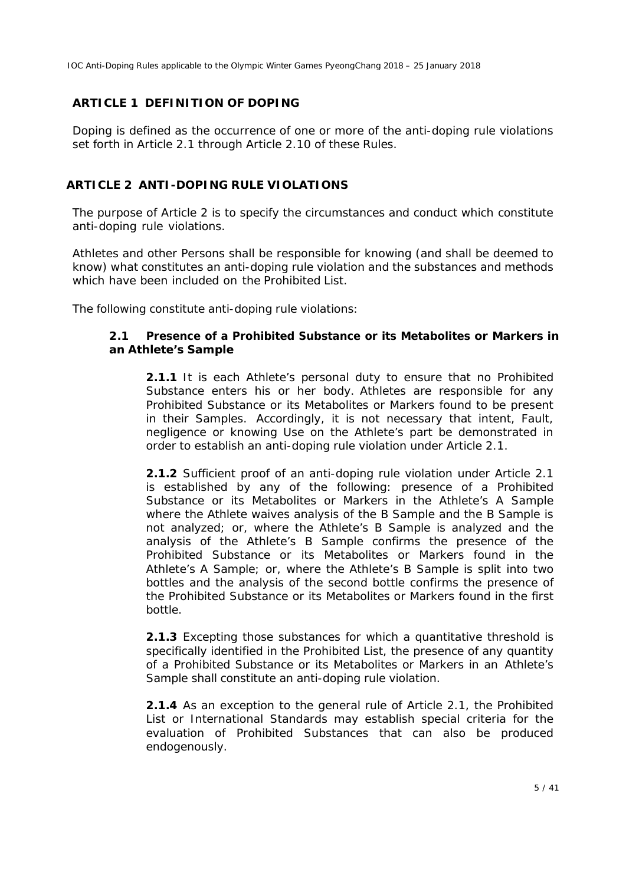### **ARTICLE 1 DEFINITION OF DOPING**

Doping is defined as the occurrence of one or more of the anti-doping rule violations set forth in Article 2.1 through Article 2.10 of these *Rules*.

#### **ARTICLE 2 ANTI-DOPING RULE VIOLATIONS**

The purpose of Article 2 is to specify the circumstances and conduct which constitute anti-doping rule violations.

*Athletes* and other *Persons* shall be responsible for knowing (and shall be deemed to know) what constitutes an anti-doping rule violation and the substances and methods which have been included on the *Prohibited List*.

The following constitute anti-doping rule violations:

#### **2.1 Presence of a** *Prohibited Substance* **or its** *Metabolites* **or** *Markers* **in an** *Athlete***'***s Sample*

**2.1.1** It is each *Athlete*'*s* personal duty to ensure that no *Prohibited Substance* enters his or her body. *Athletes* are responsible for any *Prohibited Substance* or its *Metabolites* or *Markers* found to be present in their *Samples*. Accordingly, it is not necessary that intent, *Fault*, negligence or knowing *Use* on the *Athlete's* part be demonstrated in order to establish an anti-doping rule violation under Article 2.1.

**2.1.2** Sufficient proof of an anti-doping rule violation under Article 2.1 is established by any of the following: presence of a *Prohibited Substance* or its *Metabolites* or *Markers* in the *Athlete's* A *Sample* where the *Athlete* waives analysis of the B *Sample* and the B *Sample* is not analyzed; or, where the *Athlete's* B *Sample* is analyzed and the analysis of the *Athlete's* B *Sample* confirms the presence of the *Prohibited Substance* or its *Metabolites* or *Markers* found in the *Athlete's* A *Sample*; or, where the *Athlete's* B *Sample* is split into two bottles and the analysis of the second bottle confirms the presence of the *Prohibited Substance* or its *Metabolites* or *Markers* found in the first bottle.

**2.1.3** Excepting those substances for which a quantitative threshold is specifically identified in the *Prohibited List*, the presence of any quantity of a *Prohibited Substance* or its *Metabolites* or *Markers* in an *Athlete*'*s Sample* shall constitute an anti-doping rule violation.

**2.1.4** As an exception to the general rule of Article 2.1, the *Prohibited List* or *International Standards* may establish special criteria for the evaluation of *Prohibited Substances* that can also be produced endogenously.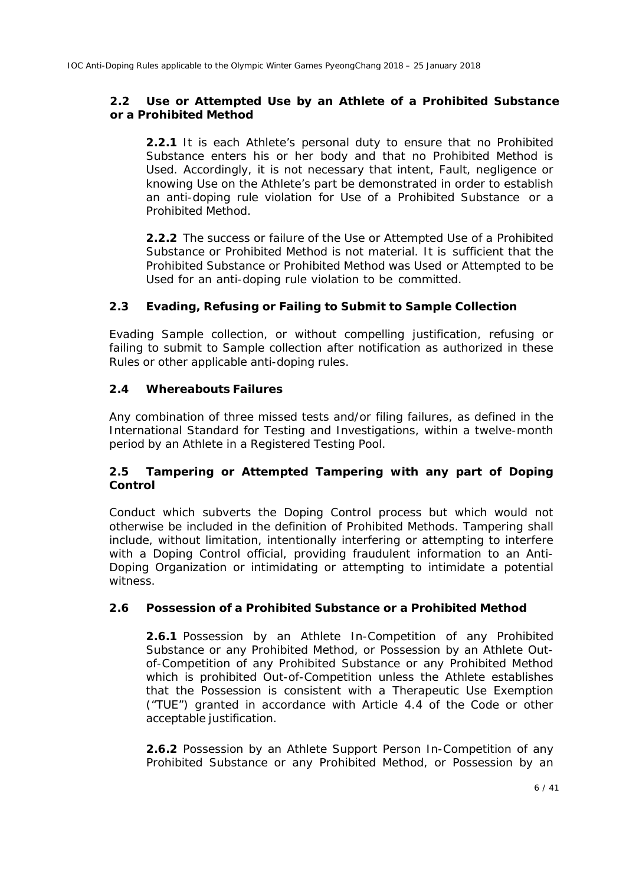#### **2.2** *Use* **or** *Attempted Use* **by an** *Athlete* **of a** *Prohibited Substance* **or a** *Prohibited Method*

**2.2.1** It is each *Athlete's* personal duty to ensure that no *Prohibited Substance* enters his or her body and that no *Prohibited Method* is *Used*. Accordingly, it is not necessary that intent, *Fault*, negligence or knowing *Use* on the *Athlete's* part be demonstrated in order to establish an anti-doping rule violation for *Use* of a *Prohibited Substance* or a *Prohibited Method*.

**2.2.2** The success or failure of the *Use* or *Attempted Use* of a *Prohibited Substance* or *Prohibited Method* is not material. It is sufficient that the *Prohibited Substance* or *Prohibited Method* was *Used* or *Attempted* to be *Used* for an anti-doping rule violation to be committed.

### **2.3 Evading, Refusing or Failing to Submit to** *Sample* **Collection**

Evading *Sample* collection, or without compelling justification, refusing or failing to submit to *Sample* collection after notification as authorized in these *Rules* or other applicable anti-doping rules.

#### **2.4 Whereabouts Failures**

Any combination of three missed tests and/or filing failures, as defined in the International Standard for Testing and Investigations, within a twelve-month period by an *Athlete* in a *Registered Testing Pool*.

### **2.5** *Tampering* **or** *Attempted Tampering* **with any part of** *Doping Control*

Conduct which subverts the *Doping Control* process but which would not otherwise be included in the definition of *Prohibited Methods*. *Tampering* shall include, without limitation, intentionally interfering or attempting to interfere with a *Doping Control* official, providing fraudulent information to an *Anti-Doping Organization* or intimidating or attempting to intimidate a potential witness.

### **2.6** *Possession* **of a** *Prohibited Substance* **or a** *Prohibited Method*

**2.6.1** *Possession* by an *Athlete In-Competition* of any *Prohibited Substance* or any *Prohibited Method,* or *Possession* by an *Athlete Outof-Competition* of any *Prohibited Substance* or any *Prohibited Method* which is prohibited *Out-of-Competition* unless the *Athlete* establishes that the *Possession* is consistent with a Therapeutic Use Exemption ("*TUE*") granted in accordance with Article 4.4 of the *Code* or other acceptable justification.

**2.6.2** *Possession* by an *Athlete Support Person In-Competition* of any *Prohibited Substance* or any *Prohibited Method,* or *Possession* by an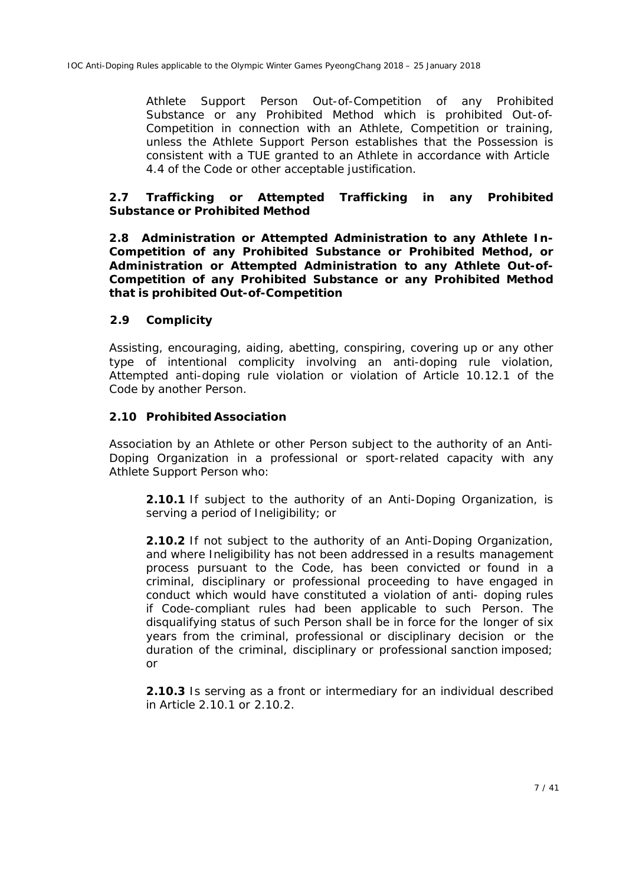*Athlete Support Person Out-of-Competition* of any *Prohibited Substance* or any *Prohibited Method* which is prohibited *Out-of-Competition* in connection with an *Athlete*, *Competition* or training, unless the *Athlete Support Person* establishes that the *Possession* is consistent with a *TUE* granted to an *Athlete* in accordance with Article 4.4 of the *Code* or other acceptable justification.

#### **2.7** *Trafficking* **or** *Attempted Trafficking* **in any** *Prohibited Substance* **or** *Prohibited Method*

**2.8** *Administration* **or** *Attempted Administration* **to any** *Athlete In-Competition* **of any** *Prohibited Substance or Prohibited Method,* **or** *Administration* **or** *Attempted Administration* **to any** *Athlete Out-of-Competition* **of any** *Prohibited Substance* **or any** *Prohibited Method* **that is prohibited** *Out-of-Competition*

#### **2.9 Complicity**

Assisting, encouraging, aiding, abetting, conspiring, covering up or any other type of intentional complicity involving an anti-doping rule violation, *Attempted* anti-doping rule violation or violation of Article 10.12.1 of the *Code* by another *Person*.

#### **2.10 Prohibited Association**

Association by an *Athlete* or other *Person* subject to the authority of an *Anti-Doping Organization* in a professional or sport-related capacity with any *Athlete Support Person* who:

**2.10.1** If subject to the authority of an *Anti-Doping Organization*, is serving a period of *Ineligibility*; or

**2.10.2** If not subject to the authority of an *Anti-Doping Organization*, and where *Ineligibility* has not been addressed in a results management process pursuant to the *Code*, has been convicted or found in a criminal, disciplinary or professional proceeding to have engaged in conduct which would have constituted a violation of anti- doping rules if *Code*-compliant rules had been applicable to such *Person.* The disqualifying status of such *Person* shall be in force for the longer of six years from the criminal, professional or disciplinary decision or the duration of the criminal, disciplinary or professional sanction imposed; or

**2.10.3** Is serving as a front or intermediary for an individual described in Article 2.10.1 or 2.10.2.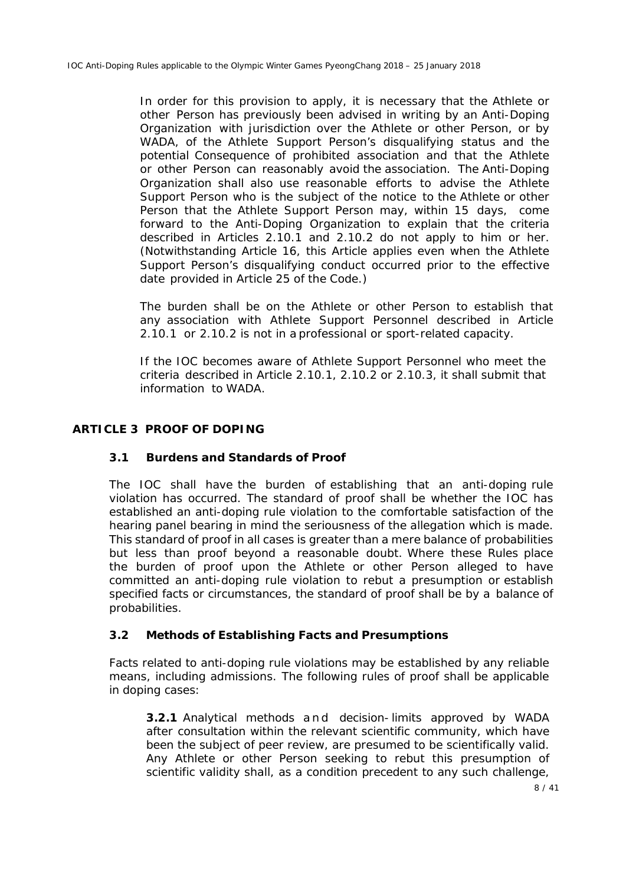In order for this provision to apply, it is necessary that the *Athlete* or other *Person* has previously been advised in writing by an *Anti-Doping Organization* with jurisdiction over the *Athlete* or other *Person*, or by *WADA*, of the *Athlete Support Person's* disqualifying status and the potential *Consequence* of prohibited association and that the *Athlete*  or other *Person* can reasonably avoid the association. The *Anti-Doping Organization* shall also use reasonable efforts to advise the *Athlete Support Person* who is the subject of the notice to the *Athlete* or other *Person* that the *Athlete Support Person* may, within 15 days, come forward to the *Anti-Doping Organization* to explain that the criteria described in Articles 2.10.1 and 2.10.2 do not apply to him or her. (Notwithstanding Article 16, this Article applies even when the *Athlete Support Person's* disqualifying conduct occurred prior to the effective date provided in Article 25 of the *Code*.)

The burden shall be on the *Athlete* or other *Person* to establish that any association with *Athlete Support Personnel* described in Article 2.10.1 or 2.10.2 is not in a professional or sport-related capacity.

If the *IOC* becomes aware of *Athlete Support Personnel* who meet the criteria described in Article 2.10.1, 2.10.2 or 2.10.3, it shall submit that information to *WADA*.

#### **ARTICLE 3 PROOF OF DOPING**

#### **3.1 Burdens and Standards of Proof**

The *IOC* shall have the burden of establishing that an anti-doping rule violation has occurred. The standard of proof shall be whether the *IOC* has established an anti-doping rule violation to the comfortable satisfaction of the hearing panel bearing in mind the seriousness of the allegation which is made. This standard of proof in all cases is greater than a mere balance of probabilities but less than proof beyond a reasonable doubt. Where these *Rules* place the burden of proof upon the *Athlete* or other *Person* alleged to have committed an anti-doping rule violation to rebut a presumption or establish specified facts or circumstances, the standard of proof shall be by a balance of probabilities.

#### **3.2 Methods of Establishing Facts and Presumptions**

Facts related to anti-doping rule violations may be established by any reliable means, including admissions. The following rules of proof shall be applicable in doping cases:

**3.2.1** Analytical methods and decision-limits approved by *WADA* after consultation within the relevant scientific community, which have been the subject of peer review, are presumed to be scientifically valid. Any *Athlete* or other *Person* seeking to rebut this presumption of scientific validity shall, as a condition precedent to any such challenge,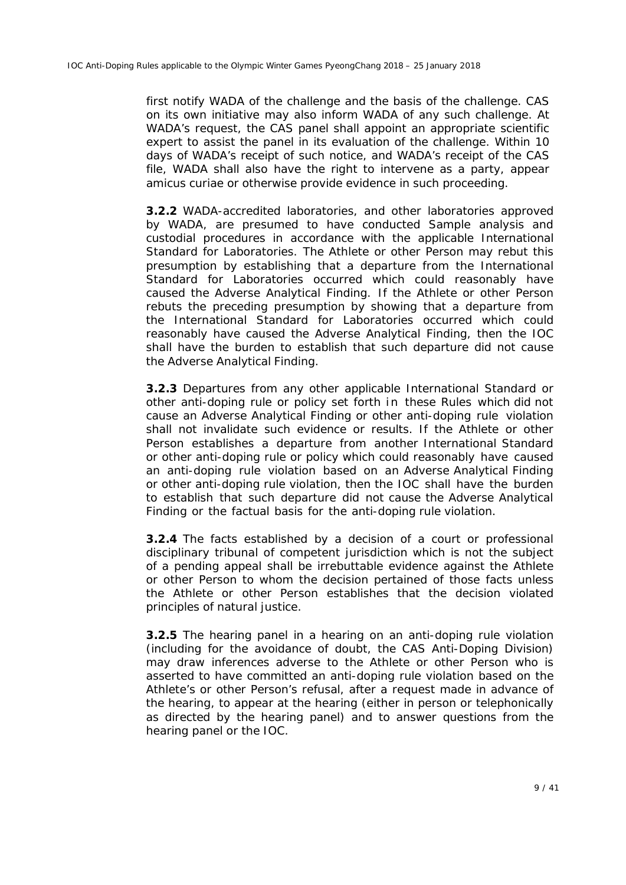first notify *WADA* of the challenge and the basis of the challenge. *CAS* on its own initiative may also inform *WADA* of any such challenge. At *WADA*'s request, the *CAS* panel shall appoint an appropriate scientific expert to assist the panel in its evaluation of the challenge. Within 10 days of *WADA's* receipt of such notice, and *WADA's* receipt of the *CAS* file, *WADA* shall also have the right to intervene as a party, appear *amicus curiae* or otherwise provide evidence in such proceeding.

**3.2.2** *WADA*-accredited laboratories, and other laboratories approved by *WADA*, are presumed to have conducted *Sample* analysis and custodial procedures in accordance with the applicable International Standard for Laboratories. The *Athlete* or other *Person* may rebut this presumption by establishing that a departure from the International Standard for Laboratories occurred which could reasonably have caused the *Adverse Analytical Finding*. If the *Athlete* or other *Person* rebuts the preceding presumption by showing that a departure from the International Standard for Laboratories occurred which could reasonably have caused the *Adverse Analytical Finding*, then the *IOC* shall have the burden to establish that such departure did not cause the *Adverse Analytical Finding*.

**3.2.3** Departures from any other applicable *International Standard* or other anti-doping rule or policy set forth in these *Rules* which did not cause an *Adverse Analytical Finding* or other anti-doping rule violation shall not invalidate such evidence or results. If the *Athlete* or other *Person* establishes a departure from another *International Standard*  or other anti-doping rule or policy which could reasonably have caused an anti-doping rule violation based on an *Adverse Analytical Finding*  or other anti-doping rule violation, then the *IOC* shall have the burden to establish that such departure did not cause the *Adverse Analytical Finding* or the factual basis for the anti-doping rule violation.

**3.2.4** The facts established by a decision of a court or professional disciplinary tribunal of competent jurisdiction which is not the subject of a pending appeal shall be irrebuttable evidence against the *Athlete* or other *Person* to whom the decision pertained of those facts unless the *Athlete* or other *Person* establishes that the decision violated principles of natural justice.

**3.2.5** The hearing panel in a hearing on an anti-doping rule violation (including for the avoidance of doubt, the *CAS Anti-Doping Division*) may draw inferences adverse to the *Athlete* or other *Person* who is asserted to have committed an anti-doping rule violation based on the *Athlete's* or other *Person*'s refusal, after a request made in advance of the hearing, to appear at the hearing (either in person or telephonically as directed by the hearing panel) and to answer questions from the hearing panel or the *IOC*.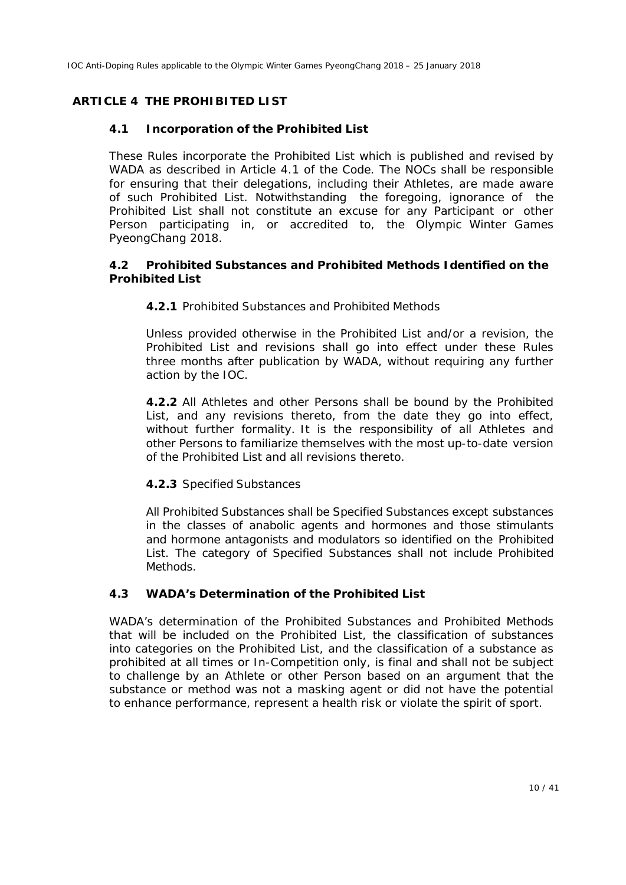## **ARTICLE 4 THE PROHIBITED LIST**

### **4.1 Incorporation of the** *Prohibited List*

These *Rules* incorporate the *Prohibited List* which is published and revised by *WADA* as described in Article 4.1 of the *Code*. The *NOCs* shall be responsible for ensuring that their delegations, including their *Athletes*, are made aware of such *Prohibited List.* Notwithstanding the foregoing, ignorance of the *Prohibited List* shall not constitute an excuse for any Participant or other Person participating in, or accredited to, the *Olympic Winter Games PyeongChang 2018.*

#### **4.2** *Prohibited Substances* **and** *Prohibited Methods* **Identified on the** *Prohibited List*

#### **4.2.1** *Prohibited Substances* and *Prohibited Methods*

Unless provided otherwise in the *Prohibited List* and/or a revision, the *Prohibited List* and revisions shall go into effect under these *Rules* three months after publication by *WADA,* without requiring any further action by the *IOC.*

**4.2.2** All *Athletes* and other *Persons* shall be bound by the *Prohibited List*, and any revisions thereto, from the date they go into effect, without further formality. It is the responsibility of all *Athletes* and other *Persons* to familiarize themselves with the most up-to-date version of the *Prohibited List* and all revisions thereto.

#### **4.2.3** *Specified Substances*

All *Prohibited Substances* shall be *Specified Substances* except substances in the classes of anabolic agents and hormones and those stimulants and hormone antagonists and modulators so identified on the *Prohibited List*. The category of *Specified Substances* shall not include *Prohibited Methods*.

### **4.3** *WADA***'s Determination of the** *Prohibited List*

*WADA's* determination of the *Prohibited Substances* and *Prohibited Methods* that will be included on the *Prohibited List*, the classification of substances into categories on the *Prohibited List*, and the classification of a substance as prohibited at all times or *In-Competition* only, is final and shall not be subject to challenge by an *Athlete* or other *Person* based on an argument that the substance or method was not a masking agent or did not have the potential to enhance performance, represent a health risk or violate the spirit of sport.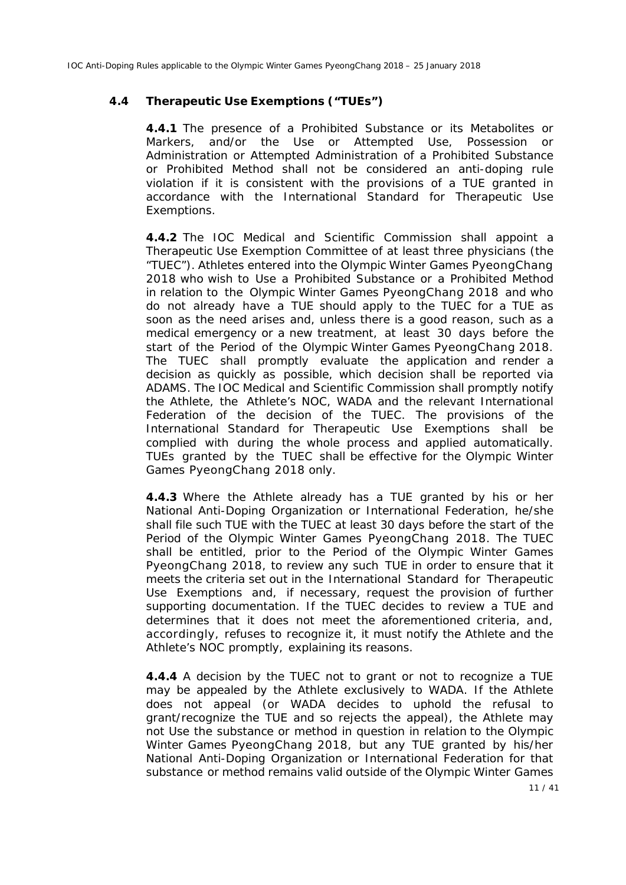#### **4.4 Therapeutic Use Exemptions ("***TUEs***")**

**4.4.1** The presence of a *Prohibited Substance* or its *Metabolites* or *Markers*, and/or the *Use* or *Attempted Use*, *Possession* or *Administration* or *Attempted Administration* of a *Prohibited Substance* or *Prohibited Method* shall not be considered an anti-doping rule violation if it is consistent with the provisions of a *TUE* granted in accordance with the International Standard for Therapeutic Use Exemptions.

**4.4.2** The *IOC* Medical and Scientific Commission shall appoint a Therapeutic Use Exemption Committee of at least three physicians (the "TUEC"). *Athletes* entered into the *Olympic Winter Games PyeongChang 2018* who wish to *Use* a *Prohibited Substance* or a *Prohibited Method*  in relation to the *Olympic Winter Games PyeongChang 2018* and who do not already have a *TUE* should apply to the TUEC for a *TUE* as soon as the need arises and, unless there is a good reason, such as a medical emergency or a new treatment, at least 30 days before the start of the *Period of the Olympic Winter Games PyeongChang 2018*. The TUEC shall promptly evaluate the application and render a decision as quickly as possible, which decision shall be reported via *ADAMS*. The *IOC* Medical and Scientific Commission shall promptly notify the *Athlete*, the *Athlete's NOC, WADA* and the relevant *International Federation* of the decision of the TUEC. The provisions of the International Standard for Therapeutic Use Exemptions shall be complied with during the whole process and applied automatically. *TUEs* granted by the TUEC shall be effective for the *Olympic Winter Games PyeongChang 2018* only.

**4.4.3** Where the *Athlete* already has a *TUE* granted by his or her *National Anti-Doping Organization* or *International Federation*, he/she shall file such *TUE* with the TUEC at least 30 days before the start of the *Period of the Olympic Winter Games PyeongChang 2018.* The TUEC shall be entitled, prior to the *Period of the Olympic Winter Games PyeongChang 2018*, to review any such *TUE* in order to ensure that it meets the criteria set out in the International Standard for Therapeutic Use Exemptions and, if necessary, request the provision of further supporting documentation. If the TUEC decides to review a *TUE* and determines that it does not meet the aforementioned criteria, and, accordingly, refuses to recognize it, it must notify the *Athlete* and the *Athlete's NOC* promptly, explaining its reasons.

**4.4.4** A decision by the *TUEC* not to grant or not to recognize a *TUE* may be appealed by the *Athlete* exclusively to *WADA*. If the *Athlete* does not appeal (or *WADA* decides to uphold the refusal to grant/recognize the *TUE* and so rejects the appeal), the *Athlete* may not *Use* the substance or method in question in relation to the *Olympic Winter Games PyeongChang 2018*, but any *TUE* granted by his/her *National Anti-Doping Organization* or *International Federation* for that substance or method remains valid outside of the *Olympic Winter Games*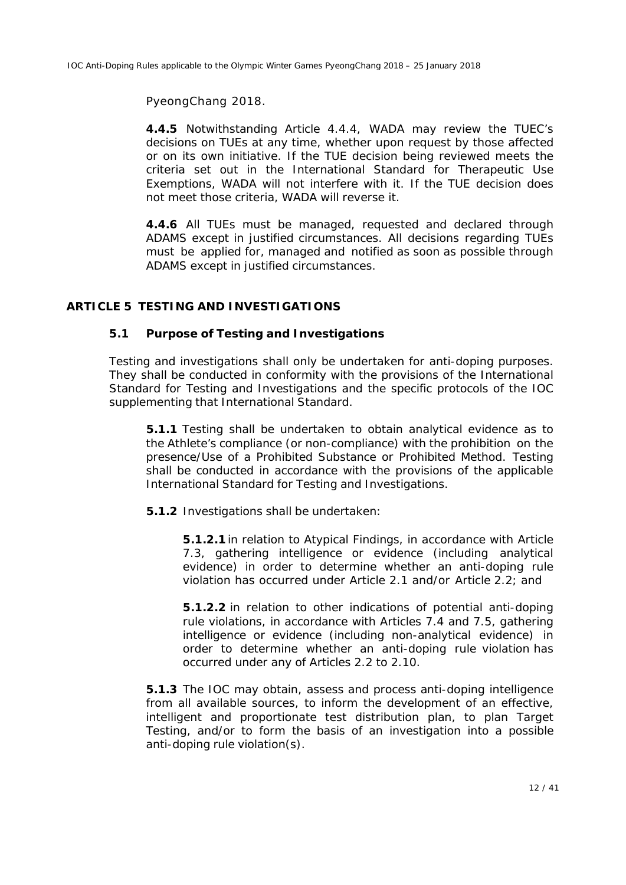*PyeongChang 2018*.

**4.4.5** Notwithstanding Article 4.4.4, *WADA* may review the TUEC's decisions on *TUEs* at any time, whether upon request by those affected or on its own initiative. If the *TUE* decision being reviewed meets the criteria set out in the International Standard for Therapeutic Use Exemptions, *WADA* will not interfere with it. If the *TUE* decision does not meet those criteria, *WADA* will reverse it.

**4.4.6** All *TUE*s must be managed, requested and declared through *ADAMS* except in justified circumstances. All decisions regarding *TUEs* must be applied for, managed and notified as soon as possible through *ADAMS* except in justified circumstances.

#### **ARTICLE 5** *TESTING* **AND INVESTIGATIONS**

#### **5.1 Purpose of** *Testing* **and Investigations**

*Testing* and investigations shall only be undertaken for anti-doping purposes. They shall be conducted in conformity with the provisions of the International Standard for Testing and Investigations and the specific protocols of the *IOC* supplementing that International Standard.

**5.1.1** *Testing* shall be undertaken to obtain analytical evidence as to the *Athlete*'s compliance (or non-compliance) with the prohibition on the presence/*Use* of a *Prohibited Substance* or *Prohibited Method*. *Testing* shall be conducted in accordance with the provisions of the applicable International Standard for Testing and Investigations.

**5.1.2** Investigations shall be undertaken:

**5.1.2.1** in relation to *Atypical Findings*, in accordance with Article 7.3, gathering intelligence or evidence (including analytical evidence) in order to determine whether an anti-doping rule violation has occurred under Article 2.1 and/or Article 2.2; and

**5.1.2.2** in relation to other indications of potential anti-doping rule violations, in accordance with Articles 7.4 and 7.5, gathering intelligence or evidence (including non-analytical evidence) in order to determine whether an anti-doping rule violation has occurred under any of Articles 2.2 to 2.10.

**5.1.3** The *IOC* may obtain, assess and process anti-doping intelligence from all available sources, to inform the development of an effective, intelligent and proportionate test distribution plan, to plan *Target Testing*, and/or to form the basis of an investigation into a possible anti-doping rule violation(s).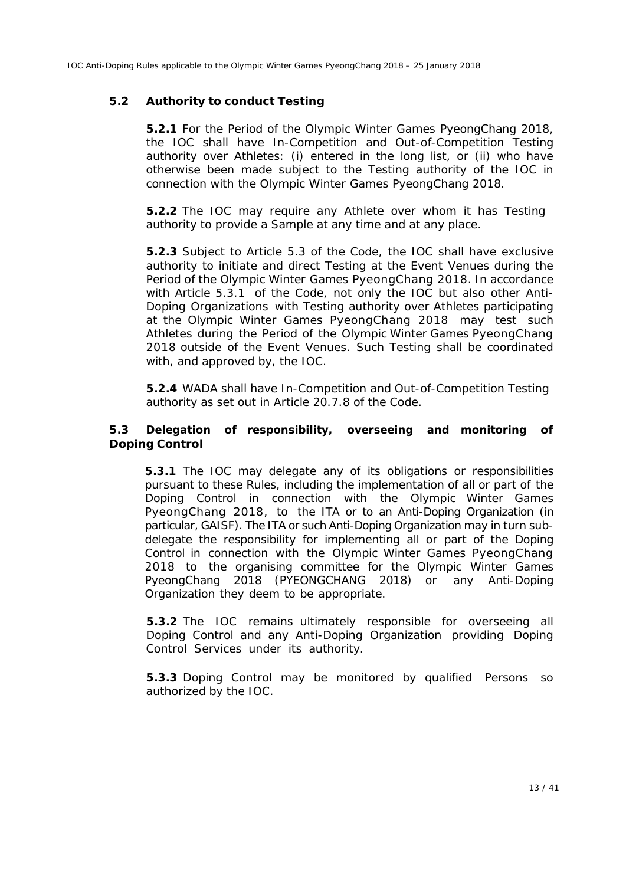#### **5.2 Authority to conduct** *Testing*

**5.2.1** For the *Period of the Olympic Winter Games PyeongChang 2018*, the IOC shall have *In-Competition* and *Out-of-Competition Testing* authority over *Athletes*: (i) entered in the long list, or (ii) who have otherwise been made subject to the *Testing* authority of the *IOC* in connection with the *Olympic Winter Games PyeongChang 2018*.

**5.2.2** The *IOC* may require any *Athlete* over whom it has *Testing* authority to provide a *Sample* at any time and at any place.

**5.2.3** Subject to Article 5.3 of the *Code*, the *IOC* shall have exclusive authority to initiate and direct *Testing* at the *Event Venues* during the *Period of the Olympic Winter Games PyeongChang 2018.* In accordance with Article 5.3.1 of the *Code*, not only the *IOC* but also other *Anti-Doping Organizations* with *Testing* authority over *Athletes* participating at the *Olympic Winter Games PyeongChang 2018* may test such *Athletes* during the *Period of the Olympic Winter Games PyeongChang 2018* outside of the *Event Venues.* Such *Testing* shall be coordinated with, and approved by, the *IOC*.

**5.2.4** *WADA* shall have *In-Competition* and *Out-of-Competition Testing* authority as set out in Article 20.7.8 of the *Code*.

#### **5.3 Delegation of responsibility, overseeing and monitoring of** *Doping Control*

**5.3.1** The *IOC* may delegate any of its obligations or responsibilities pursuant to these *Rules*, including the implementation of all or part of the *Doping Control* in connection with the *Olympic Winter Games PyeongChang 2018,* to the *ITA* or to an *Anti-Doping Organization* (in particular, *GAISF*). The *ITA* or *such Anti-Doping Organization* may in turn subdelegate the responsibility for implementing all or part of the *Doping Control* in connection with the *Olympic Winter Games PyeongChang 2018* to the organising committee for the *Olympic Winter Games PyeongChang 2018* (*PYEONGCHANG 2018*) or any *Anti-Doping Organization* they deem to be appropriate.

**5.3.2** The *IOC* remains ultimately responsible for overseeing all *Doping Control* and any *Anti-Doping Organization* providing *Doping Control Services* under its authority.

**5.3.3** *Doping Control* may be monitored by qualified *Person*s so authorized by the *IOC*.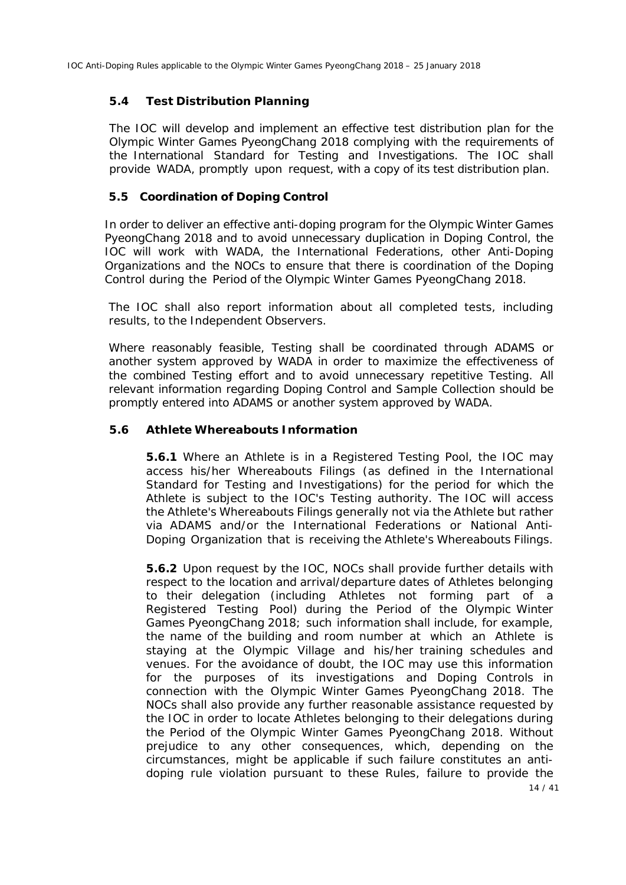### **5.4 Test Distribution Planning**

The *IOC* will develop and implement an effective test distribution plan for *the Olympic Winter Games PyeongChang 2018* complying with the requirements of the International Standard for Testing and Investigations. The *IOC* shall provide *WADA*, promptly upon request, with a copy of its test distribution plan.

## **5.5 Coordination of Doping Control**

In order to deliver an effective anti-doping program for the *Olympic Winter Games PyeongChang 2018* and to avoid unnecessary duplication in *Doping Control,* the *IOC* will work with *WADA,* the *International Federations,* other *Anti-Doping Organizations* and the *NOCs* to ensure that there is coordination of the *Doping Control* during the *Period of the Olympic Winter Games PyeongChang 2018.*

The *IOC* shall also report information about all completed tests, including results, to the Independent Observers.

Where reasonably feasible, *Testing* shall be coordinated through *ADAMS* or another system approved by *WADA* in order to maximize the effectiveness of the combined *Testing* effort and to avoid unnecessary repetitive *Testing*. All relevant information regarding *Doping Control* and *Sample Collection* should be promptly entered into *ADAMS* or another system approved by *WADA*.

### **5.6** *Athlete* **Whereabouts Information**

**5.6.1** Where an *Athlete* is in a *Registered Testing Pool*, the *IOC* may access his/her Whereabouts Filings (as defined in the International Standard for Testing and Investigations) for the period for which the *Athlete* is subject to the *IOC*'s *Testing* authority. The *IOC* will access the *Athlete's* Whereabouts Filings generally not via the *Athlete* but rather via *ADAMS* and/or the *International Federations* or *National Anti-Doping Organization* that is receiving the *Athlete's* Whereabouts Filings.

**5.6.2** Upon request by the *IOC*, *NOCs* shall provide further details with respect to the location and arrival/departure dates of *Athletes* belonging to their delegation (including *Athletes* not forming part of a *Registered Testing Pool*) during the *Period of the Olympic Winter Games PyeongChang 2018;* such information shall include, for example, the name of the building and room number at which an *Athlete* is staying at the Olympic Village and his/her training schedules and venues. For the avoidance of doubt, the *IOC* may use this information for the purposes of its investigations and *Doping Controls* in connection with the *Olympic Winter Games PyeongChang 2018*. The *NOCs* shall also provide any further reasonable assistance requested by the *IOC* in order to locate *Athletes* belonging to their delegations during the *Period of the Olympic Winter Games PyeongChang 2018*. Without prejudice to any other consequences, which, depending on the circumstances, might be applicable if such failure constitutes an antidoping rule violation pursuant to these *Rules*, failure to provide the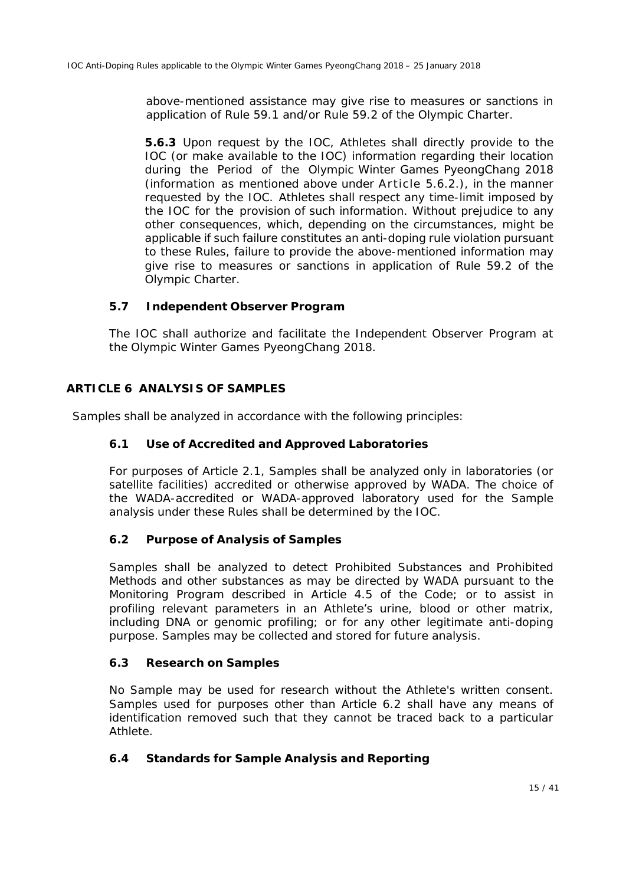above-mentioned assistance may give rise to measures or sanctions in application of Rule 59.1 and/or Rule 59.2 of the Olympic Charter.

**5.6.3** Upon request by the *IOC*, *Athletes* shall directly provide to the *IOC* (or make available to the *IOC*) information regarding their location during the *Period of the Olympic Winter Games PyeongChang 2018*  (information as mentioned above under Article 5.6.2.), in the manner requested by the *IOC*. *Athletes* shall respect any time-limit imposed by the *IOC* for the provision of such information. Without prejudice to any other consequences, which, depending on the circumstances, might be applicable if such failure constitutes an anti-doping rule violation pursuant to these *Rules*, failure to provide the above-mentioned information may give rise to measures or sanctions in application of Rule 59.2 of the Olympic Charter.

### **5.7 Independent Observer Program**

The *IOC* shall authorize and facilitate the *Independent Observer Program* at the *Olympic Winter Games PyeongChang 2018*.

#### **ARTICLE 6 ANALYSIS OF** *SAMPLES*

*Samples* shall be analyzed in accordance with the following principles:

#### **6.1 Use of Accredited and Approved Laboratories**

For purposes of Article 2.1, *Samples* shall be analyzed only in laboratories (or satellite facilities) accredited or otherwise approved by *WADA*. The choice of the *WADA*-accredited or *WADA*-approved laboratory used for the *Sample* analysis under these *Rules* shall be determined by the *IOC*.

#### **6.2 Purpose of Analysis of** *Samples*

*Samples* shall be analyzed to detect *Prohibited Substances* and *Prohibited Methods* and other substances as may be directed by *WADA* pursuant to the Monitoring Program described in Article 4.5 of the *Code*; or to assist in profiling relevant parameters in an *Athlete*'s urine, blood or other matrix, including DNA or genomic profiling; or for any other legitimate anti-doping purpose. *Samples* may be collected and stored for future analysis.

#### **6.3 Research on** *Samples*

No *Sample* may be used for research without the *Athlete's* written consent. *Samples* used for purposes other than Article 6.2 shall have any means of identification removed such that they cannot be traced back to a particular *Athlete*.

#### **6.4 Standards for** *Sample* **Analysis and Reporting**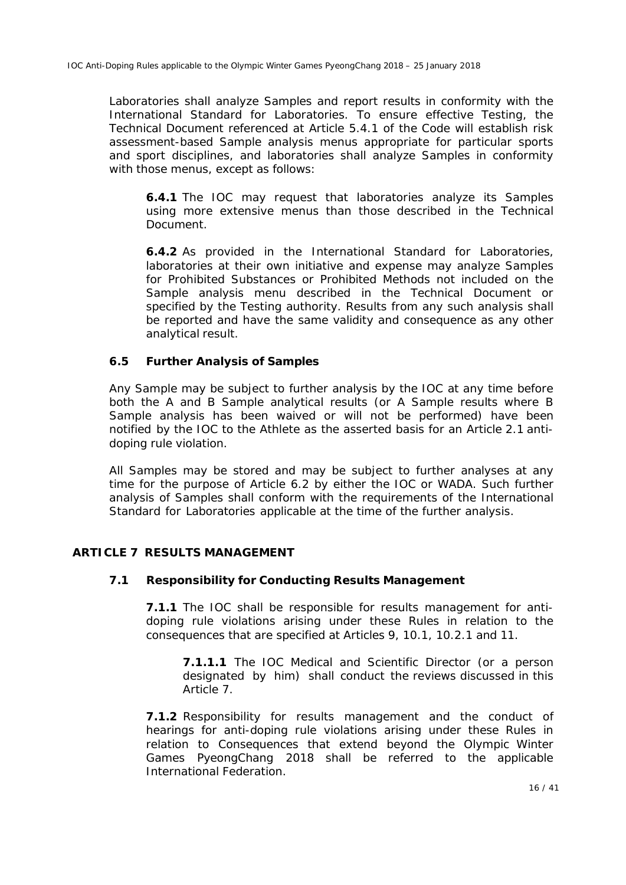Laboratories shall analyze *Samples* and report results in conformity with the International Standard for Laboratories. To ensure effective *Testing*, the Technical Document referenced at Article 5.4.1 of the *Code* will establish risk assessment-based *Sample* analysis menus appropriate for particular sports and sport disciplines, and laboratories shall analyze *Samples* in conformity with those menus, except as follows:

**6.4.1** The *IOC* may request that laboratories analyze its *Samples* using more extensive menus than those described in the Technical Document.

**6.4.2** As provided in the International Standard for Laboratories, laboratories at their own initiative and expense may analyze *Samples* for *Prohibited Substances* or *Prohibited Methods* not included on the *Sample* analysis menu described in the Technical Document or specified by the *Testing* authority. Results from any such analysis shall be reported and have the same validity and consequence as any other analytical result.

#### **6.5 Further Analysis of** *Samples*

Any *Sample* may be subject to further analysis by the *IOC* at any time before both the A and B *Sample* analytical results (or A *Sample* results where B *Sample* analysis has been waived or will not be performed) have been notified by the *IOC* to the *Athlete* as the asserted basis for an Article 2.1 antidoping rule violation.

All *Samples* may be stored and may be subject to further analyses at any time for the purpose of Article 6.2 by either the *IOC* or *WADA*. Such further analysis of *Samples* shall conform with the requirements of the International Standard for Laboratories applicable at the time of the further analysis.

#### **ARTICLE 7 RESULTS MANAGEMENT**

#### **7.1 Responsibility for Conducting Results Management**

**7.1.1** The *IOC* shall be responsible for results management for antidoping rule violations arising under these *Rules* in relation to the consequences that are specified at Articles 9, 10.1, 10.2.1 and 11.

**7.1.1.1** The *IOC* Medical and Scientific Director (or a person designated by him) shall conduct the reviews discussed in this Article 7.

**7.1.2** Responsibility for results management and the conduct of hearings for anti-doping rule violations arising under these *Rules* in relation to *Consequences* that extend beyond the *Olympic Winter Games PyeongChang 2018* shall be referred to the applicable *International Federation*.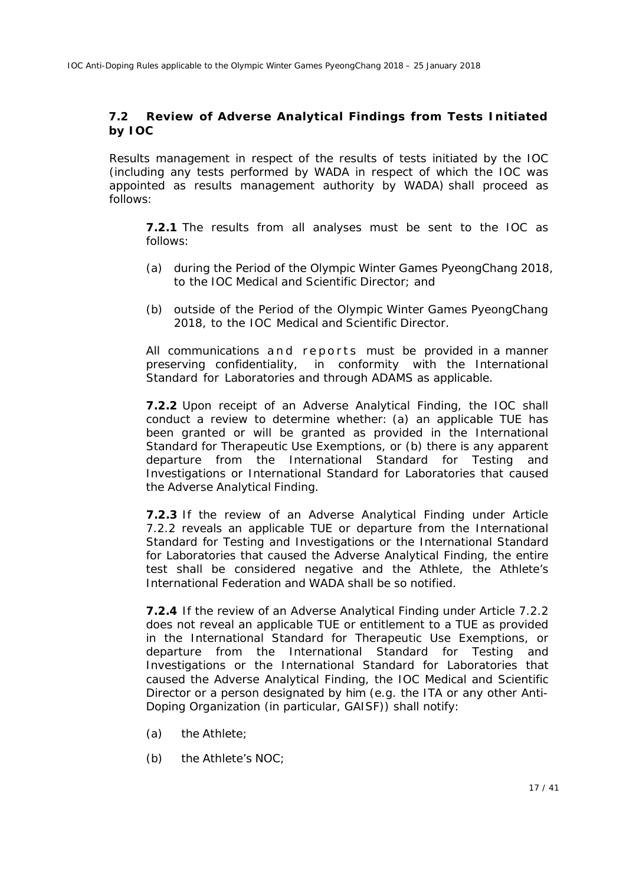### **7.2 Review of** *Adverse Analytical Findings* **from Tests Initiated by** *IOC*

Results management in respect of the results of tests initiated by the *IOC* (including any tests performed by *WADA* in respect of which the *IOC* was appointed as results management authority by *WADA*) shall proceed as follows:

**7.2.1** The results from all analyses must be sent to the *IOC* as follows:

- (a) during the *Period of the Olympic Winter Games PyeongChang 2018,*  to the *IOC* Medical and Scientific Director; and
- (b) outside of the *Period of the Olympic Winter Games PyeongChang 2018*, to the *IOC* Medical and Scientific Director.

All communications and reports must be provided in a manner preserving confidentiality, in conformity with the International Standard for Laboratories and through *ADAMS* as applicable.

**7.2.2** Upon receipt of an *Adverse Analytical Finding*, the *IOC* shall conduct a review to determine whether: (a) an applicable *TUE* has been granted or will be granted as provided in the International Standard for Therapeutic Use Exemptions, or (b) there is any apparent departure from the International Standard for Testing and Investigations or International Standard for Laboratories that caused the *Adverse Analytical Finding*.

**7.2.3** If the review of an *Adverse Analytical Finding* under Article 7.2.2 reveals an applicable *TUE* or departure from the International Standard for Testing and Investigations or the International Standard for Laboratories that caused the *Adverse Analytical Finding*, the entire test shall be considered negative and the *Athlete*, the *Athlete*'s *International Federation* and *WADA* shall be so notified.

**7.2.4** If the review of an *Adverse Analytical Finding* under Article 7.2.2 does not reveal an applicable *TUE* or entitlement to a *TUE* as provided in the International Standard for Therapeutic Use Exemptions, or departure from the International Standard for Testing and Investigations or the International Standard for Laboratories that caused the *Adverse Analytical Finding*, the *IOC* Medical and Scientific Director or a person designated by him (e.g. the *ITA* or any other *Anti-Doping Organization* (in particular, *GAISF*)) shall notify:

- (a) the *Athlete;*
- (b) the *Athlete's NOC*;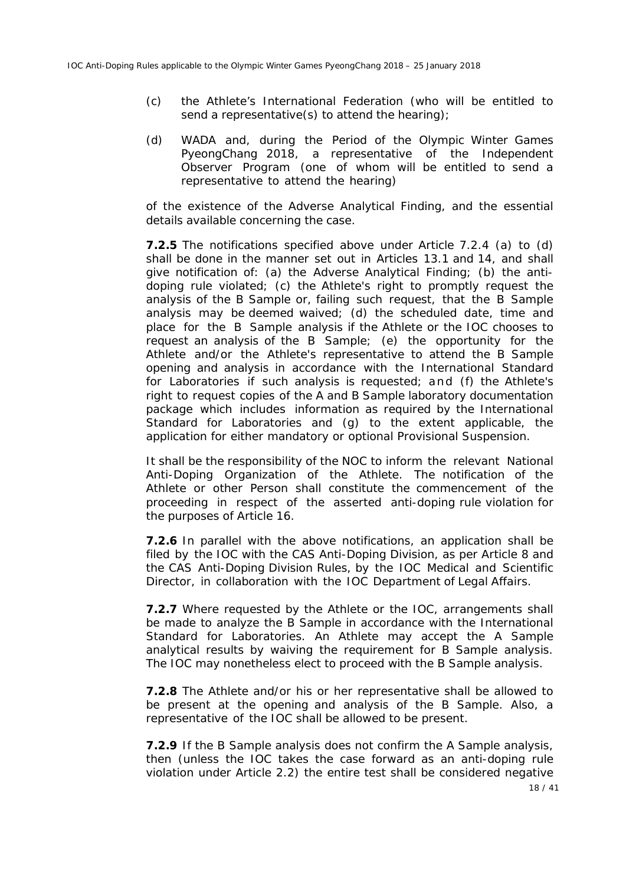- (c) the *Athlete's International Federation* (who will be entitled to send a representative(s) to attend the hearing);
- (d) *WADA* and, during the *Period of the Olympic Winter Games PyeongChang 2018*, a representative of the *Independent Observer Program (*one of whom will be entitled to send a representative to attend the hearing*)*

of the existence of the *Adverse Analytical Finding*, and the essential details available concerning the case.

**7.2.5** The notifications specified above under Article 7.2.4 (a) to (d) shall be done in the manner set out in Articles 13.1 and 14, and shall give notification of: (a) the *Adverse Analytical Finding*; (b) the antidoping rule violated; (c) the *Athlete*'s right to promptly request the analysis of the B *Sample* or, failing such request, that the B *Sample*  analysis may be deemed waived; (d) the scheduled date, time and place for the B *Sample* analysis if the *Athlete* or the *IOC* chooses to request an analysis of the B *Sample*; (e) the opportunity for the *Athlete* and/or the *Athlete*'s representative to attend the B *Sample*  opening and analysis in accordance with the International Standard for Laboratories if such analysis is requested; and (f) the *Athlete*'s right to request copies of the A and B *Sample* laboratory documentation package which includes information as required by the International Standard for Laboratories and (g) to the extent applicable, the application for either mandatory or optional *Provisional Suspension*.

It shall be the responsibility of the *NOC* to inform the relevant *National Anti-Doping Organization* of the *Athlete*. The notification of the *Athlete* or other *Person* shall constitute the commencement of the proceeding in respect of the asserted anti-doping rule violation for the purposes of Article 16.

**7.2.6** In parallel with the above notifications, an application shall be filed by the *IOC* with the *CAS Anti-Doping Division,* as per Article 8 and the *CAS Anti-Doping Division Rules,* by the *IOC* Medical and Scientific Director, in collaboration with the *IOC* Department of Legal Affairs.

**7.2.7** Where requested by the *Athlete* or the *IOC*, arrangements shall be made to analyze the B *Sample* in accordance with the International Standard for Laboratories. An *Athlete* may accept the A *Sample* analytical results by waiving the requirement for B *Sample* analysis. The *IOC* may nonetheless elect to proceed with the B *Sample* analysis.

**7.2.8** The *Athlete* and/or his or her representative shall be allowed to be present at the opening and analysis of the B *Sample*. Also, a representative of the *IOC* shall be allowed to be present.

**7.2.9** If the B *Sample* analysis does not confirm the A *Sample* analysis, then (unless the *IOC* takes the case forward as an anti-doping rule violation under Article 2.2) the entire test shall be considered negative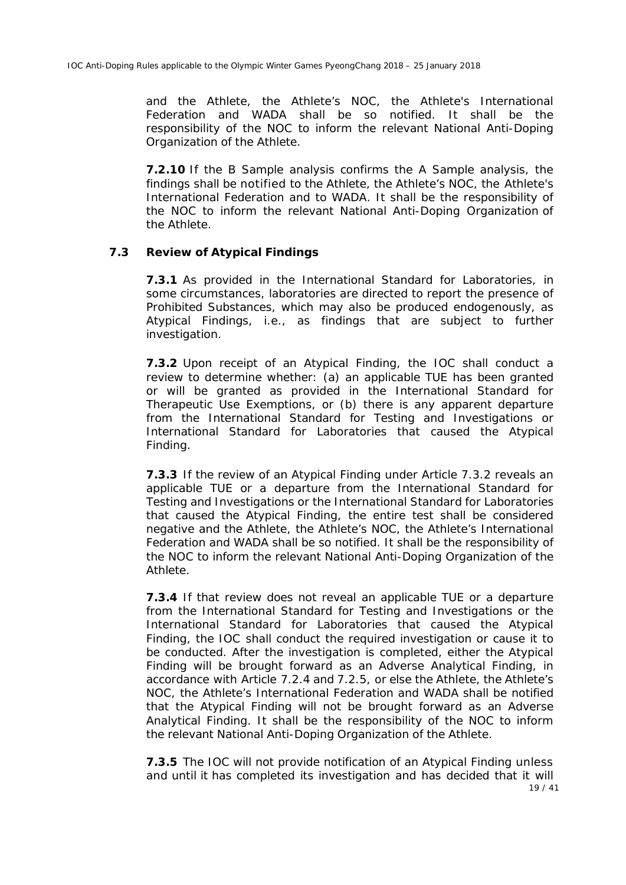and the *Athlete*, the *Athlete's NOC*, the *Athlete's International Federation* and *WADA* shall be so notified. It shall be the responsibility of the *NOC* to inform the relevant *National Anti-Doping Organization* of the *Athlete.*

**7.2.10** If the B *Sample* analysis confirms the A *Sample* analysis, the findings shall be notified to the *Athlete*, the *Athlete's NOC*, the *Athlete's International Federation* and to *WADA*. It shall be the responsibility of the *NOC* to inform the relevant *National Anti-Doping Organization* of the *Athlete.*

#### **7.3 Review of** *Atypical Findings*

**7.3.1** As provided in the International Standard for Laboratories, in some circumstances, laboratories are directed to report the presence of *Prohibited Substances*, which may also be produced endogenously, as *Atypical Findings*, i.e., as findings that are subject to further investigation.

**7.3.2** Upon receipt of an *Atypical Finding*, the *IOC* shall conduct a review to determine whether: (a) an applicable *TUE* has been granted or will be granted as provided in the International Standard for Therapeutic Use Exemptions, or (b) there is any apparent departure from the International Standard for Testing and Investigations or International Standard for Laboratories that caused the *Atypical Finding.*

**7.3.3** If the review of an *Atypical Finding* under Article 7.3.2 reveals an applicable *TUE* or a departure from the International Standard for Testing and Investigations or the International Standard for Laboratories that caused the *Atypical Finding*, the entire test shall be considered negative and the *Athlete*, the *Athlete's NOC*, the *Athlete's International Federation* and *WADA* shall be so notified. It shall be the responsibility of the *NOC* to inform the relevant *National Anti-Doping Organization* of the *Athlete*.

**7.3.4** If that review does not reveal an applicable *TUE* or a departure from the International Standard for Testing and Investigations or the International Standard for Laboratories that caused the *Atypical Finding*, the *IOC* shall conduct the required investigation or cause it to be conducted. After the investigation is completed, either the *Atypical Finding* will be brought forward as an *Adverse Analytical Finding*, in accordance with Article 7.2.4 and 7.2.5, or else the *Athlete,* the *Athlete*'s *NOC*, the *Athlete*'s *International Federation* and *WADA* shall be notified that the *Atypical Finding* will not be brought forward as an *Adverse Analytical Finding*. It shall be the responsibility of the *NOC* to inform the relevant *National Anti-Doping Organization* of the *Athlete.*

19 / 41 **7.3.5** The *IOC* will not provide notification of an *Atypical Finding* unless and until it has completed its investigation and has decided that it will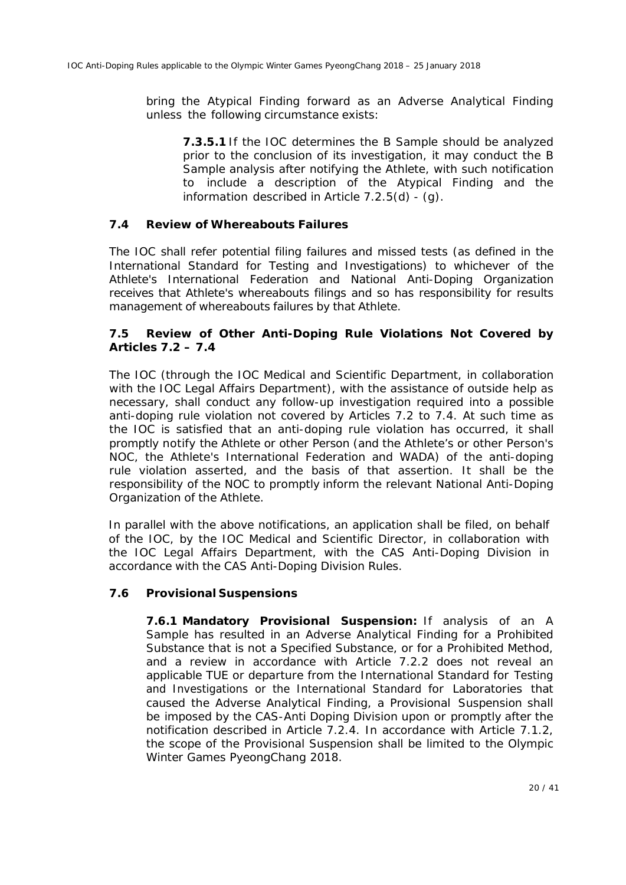bring the *Atypical Finding* forward as an *Adverse Analytical Finding*  unless the following circumstance exists:

**7.3.5.1** If the *IOC* determines the B *Sample* should be analyzed prior to the conclusion of its investigation, it may conduct the B *Sample* analysis after notifying the *Athlete*, with such notification to include a description of the *Atypical Finding* and the information described in Article  $7.2.5(d)$  - (q).

#### **7.4 Review of Whereabouts Failures**

The *IOC* shall refer potential filing failures and missed tests (as defined in the International Standard for Testing and Investigations) to whichever of the *Athlete's International Federation* and *National Anti-Doping Organization* receives that *Athlete's* whereabouts filings and so has responsibility for results management of whereabouts failures by that *Athlete*.

#### **7.5 Review of Other** *Anti-Doping Rule Violations* **Not Covered by Articles 7.2 – 7.4**

The *IOC* (through the *IOC* Medical and Scientific Department, in collaboration with the *IOC* Legal Affairs Department), with the assistance of outside help as necessary, shall conduct any follow-up investigation required into a possible anti-doping rule violation not covered by Articles 7.2 to 7.4. At such time as the *IOC* is satisfied that an anti-doping rule violation has occurred, it shall promptly notify the *Athlete* or other *Person* (and the *Athlete's* or other *Person's NOC*, the *Athlete's International Federation* and *WADA*) of the anti-doping rule violation asserted, and the basis of that assertion. It shall be the responsibility of the *NOC* to promptly inform the relevant *National Anti-Doping Organization* of the *Athlete.*

In parallel with the above notifications, an application shall be filed, on behalf of the *IOC*, by the *IOC* Medical and Scientific Director, in collaboration with the *IOC* Legal Affairs Department, with the *CAS Anti-Doping Division* in accordance with the *CAS Anti-Doping Division Rules*.

#### **7.6** *Provisional Suspensions*

**7.6.1 Mandatory** *Provisional Suspension***:** If analysis of an A *Sample* has resulted in an *Adverse Analytical Finding* for a *Prohibited Substance* that is not a *Specified Substance*, or for a *Prohibited Method*, and a review in accordance with Article 7.2.2 does not reveal an applicable *TUE* or departure from the International Standard for Testing and Investigations or the International Standard for Laboratories that caused the *Adverse Analytical Finding*, a *Provisional Suspension* shall be imposed by the *CAS-Anti Doping Division* upon or promptly after the notification described in Article 7.2.4. In accordance with Article 7.1.2, the scope of the *Provisional Suspension* shall be limited to the *Olympic Winter Games PyeongChang 2018*.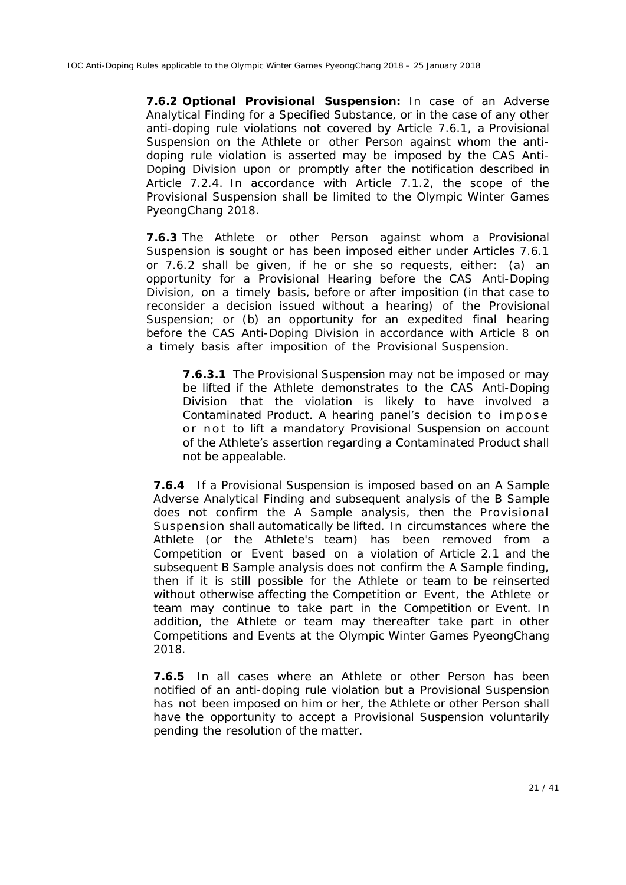**7.6.2 Optional** *Provisional Suspension***:** In case of an *Adverse Analytical Finding* for a *Specified Substance*, or in the case of any other anti-doping rule violations not covered by Article 7.6.1, a *Provisional Suspension* on the *Athlete* or other *Person* against whom the antidoping rule violation is asserted may be imposed by the *CAS Anti-Doping Division* upon or promptly after the notification described in Article 7.2.4. In accordance with Article 7.1.2, the scope of the *Provisional Suspension* shall be limited to the *Olympic Winter Games PyeongChang 2018*.

**7.6.3** The *Athlete* or other *Person* against whom a *Provisional Suspension* is sought or has been imposed either under Articles 7.6.1 or 7.6.2 shall be given, if he or she so requests, either: (a) an opportunity for a *Provisional Hearing* before the *CAS Anti-Doping Division*, on a timely basis, before or after imposition (in that case to reconsider a decision issued without a hearing) of the *Provisional Suspension*; or (b) an opportunity for an expedited final hearing before the *CAS Anti-Doping Division* in accordance with Article 8 on a timely basis after imposition of the *Provisional Suspension.* 

**7.6.3.1** The *Provisional Suspension* may not be imposed or may be lifted if the *Athlete* demonstrates to the *CAS Anti-Doping Division* that the violation is likely to have involved a *Contaminated Product*. A hearing panel's decision to impose or not to lift a mandatory *Provisional Suspension* on account of the *Athlete's* assertion regarding a *Contaminated Product* shall not be appealable.

**7.6.4** If a *Provisional Suspension* is imposed based on an A *Sample Adverse Analytical Finding* and subsequent analysis of the B *Sample* does not confirm the A *Sample* analysis, then the *Provisional Suspension* shall automatically be lifted. In circumstances where the *Athlete* (or the *Athlete's* team) has been removed from a *Competition* or *Event* based on a violation of Article 2.1 and the subsequent B *Sample* analysis does not confirm the A *Sample* finding, then if it is still possible for the *Athlete* or team to be reinserted without otherwise affecting the *Competition* or *Event*, the *Athlete* or team may continue to take part in the *Competition* or *Event*. In addition, the *Athlete* or team may thereafter take part in other *Competitions* and *Events* at the *Olympic Winter Games PyeongChang 2018.*

**7.6.5** In all cases where an *Athlete* or other *Person* has been notified of an anti-doping rule violation but a *Provisional Suspension*  has not been imposed on him or her, the *Athlete* or other *Person* shall have the opportunity to accept a *Provisional Suspension* voluntarily pending the resolution of the matter.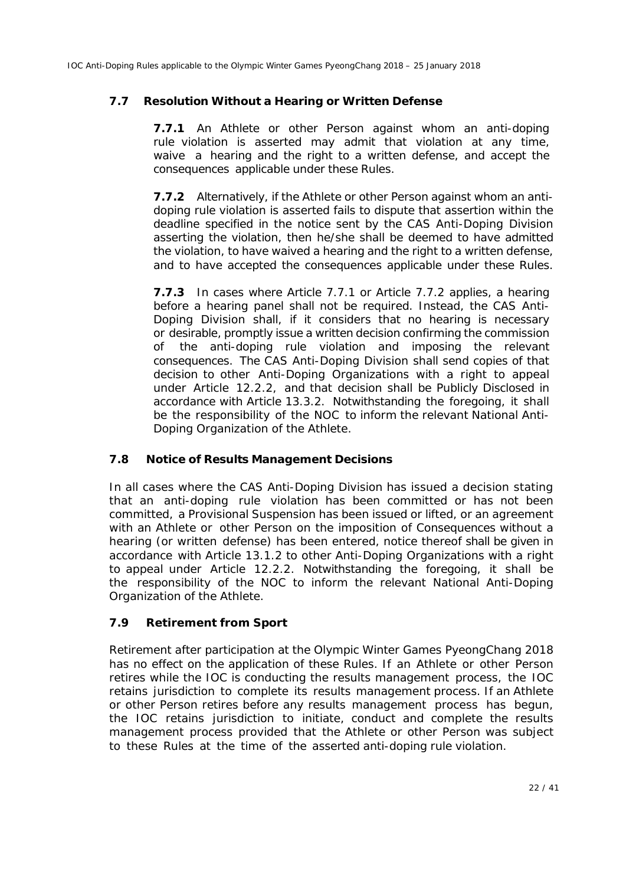## **7.7 Resolution Without a Hearing or Written Defense**

**7.7.1** An *Athlete* or other *Person* against whom an anti-doping rule violation is asserted may admit that violation at any time, waive a hearing and the right to a written defense, and accept the consequences applicable under these *Rules*.

**7.7.2** Alternatively, if the *Athlete* or other *Person* against whom an antidoping rule violation is asserted fails to dispute that assertion within the deadline specified in the notice sent by the *CAS Anti-Doping Division* asserting the violation, then he/she shall be deemed to have admitted the violation, to have waived a hearing and the right to a written defense, and to have accepted the consequences applicable under these *Rules*.

**7.7.3** In cases where Article 7.7.1 or Article 7.7.2 applies, a hearing before a hearing panel shall not be required. Instead, the *CAS Anti-Doping Division* shall, if it considers that no hearing is necessary or desirable, promptly issue a written decision confirming the commission of the anti-doping rule violation and imposing the relevant consequences. The *CAS Anti-Doping Division* shall send copies of that decision to other *Anti-Doping Organizations* with a right to appeal under Article 12.2.2, and that decision shall be *Publicly Disclosed* in accordance with Article 13.3.2. Notwithstanding the foregoing, it shall be the responsibility of the *NOC* to inform the relevant *National Anti-Doping Organization* of the *Athlete.*

### **7.8 Notice of Results Management Decisions**

In all cases where the *CAS Anti-Doping Division* has issued a decision stating that an anti-doping rule violation has been committed or has not been committed, a *Provisional Suspension* has been issued or lifted, or an agreement with an *Athlete* or other *Person* on the imposition of *Consequences* without a hearing (or written defense) has been entered, notice thereof shall be given in accordance with Article 13.1.2 to other *Anti-Doping Organizations* with a right to appeal under Article 12.2.2. Notwithstanding the foregoing, it shall be the responsibility of the *NOC* to inform the relevant *National Anti-Doping Organization* of the *Athlete.*

### **7.9 Retirement from Sport**

Retirement after participation at the *Olympic Winter Games PyeongChang 2018*  has no effect on the application of these *Rules*. If an *Athlete* or other *Person*  retires while the *IOC* is conducting the results management process, the *IOC*  retains jurisdiction to complete its results management process. If an *Athlete*  or other *Person* retires before any results management process has begun, the *IOC* retains jurisdiction to initiate, conduct and complete the results management process provided that the *Athlete* or other *Person* was subject to these *Rules* at the time of the asserted anti-doping rule violation.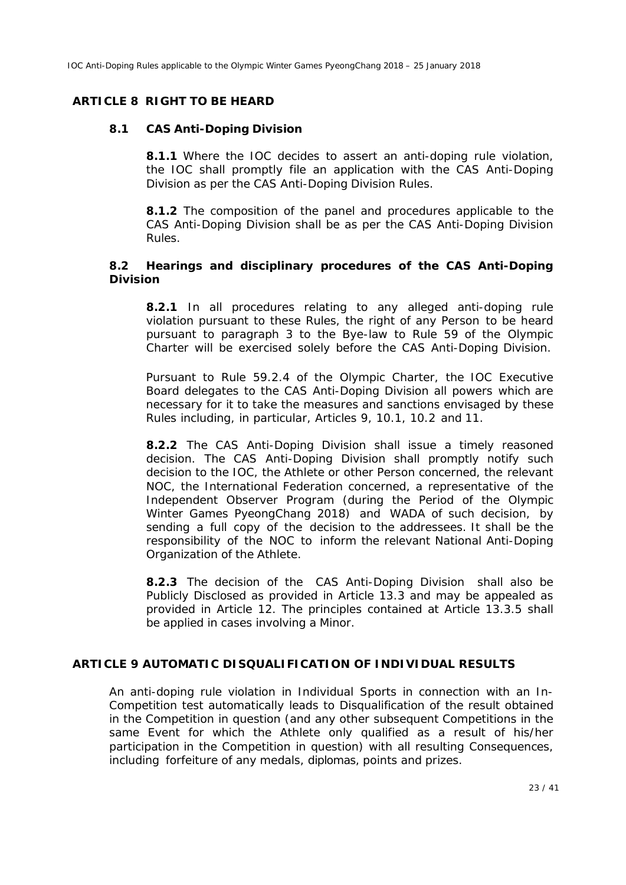#### **ARTICLE 8 RIGHT TO BE HEARD**

#### **8.1** *CAS Anti-Doping Division*

**8.1.1** Where the *IOC* decides to assert an anti-doping rule violation, the *IOC* shall promptly file an application with the *CAS Anti-Doping Division* as per the *CAS Anti-Doping Division Rules*.

**8.1.2** The composition of the panel and procedures applicable to the *CAS Anti-Doping Division* shall be as per the *CAS Anti-Doping Division Rules*.

#### **8.2 Hearings and disciplinary procedures of the** *CAS Anti-Doping Division*

**8.2.1** In all procedures relating to any alleged anti-doping rule violation pursuant to these *Rules,* the right of any *Person* to be heard pursuant to paragraph 3 to the Bye-law to Rule 59 of the Olympic Charter will be exercised solely before the *CAS Anti-Doping Division*.

Pursuant to Rule 59.2.4 of the Olympic Charter, the *IOC* Executive Board delegates to the *CAS Anti-Doping Division* all powers which are necessary for it to take the measures and sanctions envisaged by these *Rules* including, in particular, Articles 9, 10.1, 10.2 and 11.

**8.2.2** The *CAS Anti-Doping Division* shall issue a timely reasoned decision. The *CAS Anti-Doping Division* shall promptly notify such decision to the *IOC*, the *Athlete* or other *Person* concerned, the relevant *NOC*, the *International Federation* concerned, a representative of the *Independent Observer Program* (during the *Period of the Olympic Winter Games PyeongChang 2018*) and *WADA* of such decision, by sending a full copy of the decision to the addressees. It shall be the responsibility of the *NOC* to inform the relevant *National Anti-Doping Organization* of the *Athlete.*

**8.2.3** The decision of the *CAS Anti-Doping Division* shall also be *Publicly Disclosed* as provided in Article 13.3 and may be appealed as provided in Article 12. The principles contained at Article 13.3.5 shall be applied in cases involving a *Minor*.

#### **ARTICLE 9 AUTOMATIC DISQUALIFICATION OF INDIVIDUAL RESULTS**

An anti-doping rule violation in *Individual Sports* in connection with an *In-Competition* test automatically leads to *Disqualification* of the result obtained in the *Competition* in question (and any other subsequent *Competitions* in the same *Event* for which the Athlete only qualified as a result of his/her participation in the *Competition* in question) with all resulting *Consequences*, including forfeiture of any medals, diplomas, points and prizes.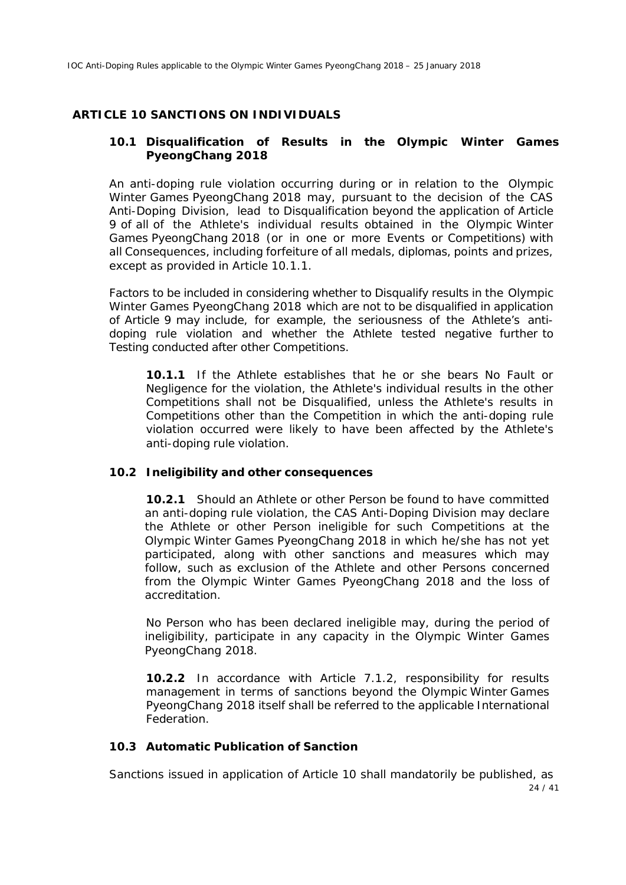#### **ARTICLE 10 SANCTIONS ON INDIVIDUALS**

#### **10.1** *Disqualification* **of Results in the** *Olympic Winter Games PyeongChang 2018*

An anti-doping rule violation occurring during or in relation to the *Olympic Winter Games PyeongChang 2018* may, pursuant to the decision of the *CAS Anti-Doping Division*, lead to *Disqualification* beyond the application of Article 9 of all of the *Athlete's* individual results obtained in the *Olympic Winter Games PyeongChang 2018* (or in one or more *Events or Competitions)* with all *Consequences*, including forfeiture of all medals, diplomas, points and prizes, except as provided in Article 10.1.1.

Factors to be included in considering whether to *Disqualify* results in the *Olympic Winter Games PyeongChang 2018* which are not to be disqualified in application of Article 9 may include, for example, the seriousness of the *Athlete*'s antidoping rule violation and whether the *Athlete* tested negative further to *Testing* conducted after other *Competitions*.

**10.1.1** If the *Athlete* establishes that he or she bears *No Fault or Negligence* for the violation, the *Athlete's* individual results in the other *Competition*s shall not be *Disqualified,* unless the *Athlete's* results in *Competition*s other than the *Competition* in which the anti-doping rule violation occurred were likely to have been affected by the *Athlete*'s anti-doping rule violation.

#### **10.2** *Ineligibility* **and other** *consequences*

**10.2.1** Should an *Athlete* or other *Person* be found to have committed an anti-doping rule violation, the *CAS Anti-Doping Division* may declare the *Athlete* or other *Person* ineligible for such *Competitions* at the *Olympic Winter Games PyeongChang 2018* in which he/she has not yet participated, along with other sanctions and measures which may follow, such as exclusion of the *Athlete* and other *Persons* concerned from the *Olympic Winter Games PyeongChang 2018* and the loss of accreditation.

No *Person* who has been declared ineligible may, during the period of ineligibility, participate in any capacity in the *Olympic Winter Games PyeongChang 2018*.

**10.2.2** In accordance with Article 7.1.2, responsibility for results management in terms of sanctions beyond the *Olympic Winter Games PyeongChang 2018* itself shall be referred to the applicable *International Federation*.

#### **10.3 Automatic Publication of Sanction**

24 / 41 Sanctions issued in application of Article 10 shall mandatorily be published, as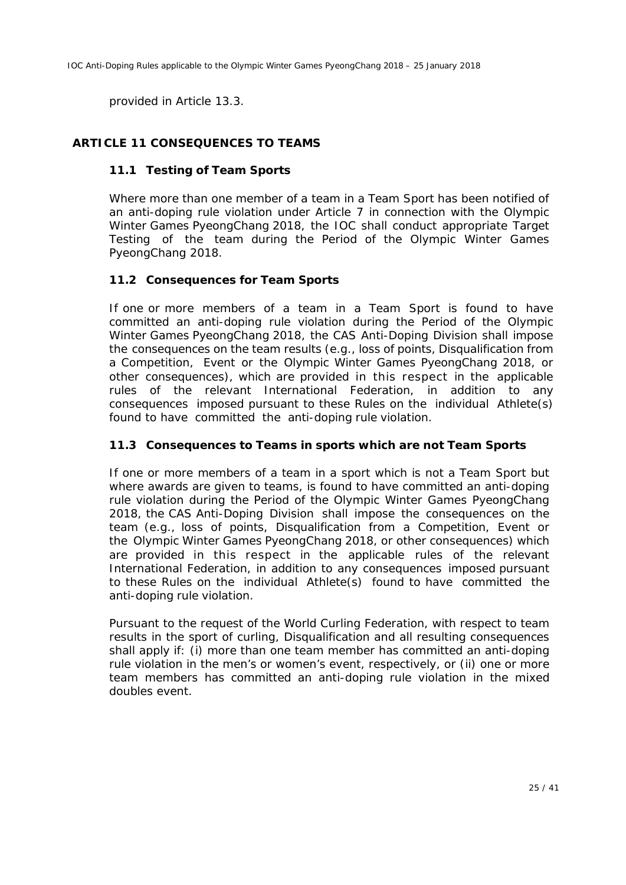provided in Article 13.3.

### **ARTICLE 11 CONSEQUENCES TO TEAMS**

#### **11.1** *Testing* **of** *Team Sport***s**

Where more than one member of a team in a *Team Sport* has been notified of an anti-doping rule violation under Article 7 in connection with the *Olympic Winter Games PyeongChang 2018*, the *IOC* shall conduct appropriate *Target Testing* of the team during the *Period of the Olympic Winter Games PyeongChang 2018*.

#### **11.2** *Consequences* **for** *Team Sport***s**

If one or more members of a team in a *Team Sport* is found to have committed an anti-doping rule violation during the *Period of the Olympic Winter Games PyeongChang 2018*, the *CAS Anti-Doping Division* shall impose the consequences on the team results (e.g., loss of points, *Disqualification* from a *Competition*, *Event* or *the Olympic Winter Games PyeongChang 2018*, or other consequences), which are provided in this respect in the applicable rules of the relevant *International Federation*, in addition to any consequences imposed pursuant to these *Rules* on the individual *Athlete(*s) found to have committed the anti-doping rule violation.

#### **11.3** *Consequences to Teams* **in sports which are not** *Team Sports*

If one or more members of a team in a sport which is not a *Team Sport* but where awards are given to teams, is found to have committed an anti-doping rule violation during the *Period of the Olympic Winter Games PyeongChang 2018*, the *CAS Anti-Doping Division* shall impose the consequences on the team (e.g., loss of points, *Disqualification* from a *Competition*, *Event* or *the Olympic Winter Games PyeongChang 2018*, or other consequences) which are provided in this respect in the applicable rules of the relevant *International Federation*, in addition to any consequences imposed pursuant to these *Rules* on the individual *Athlete(*s) found to have committed the anti-doping rule violation.

Pursuant to the request of the World Curling Federation, with respect to team results in the sport of curling, *Disqualification* and all resulting consequences shall apply if: (i) more than one team member has committed an anti-doping rule violation in the men's or women's event, respectively, or (ii) one or more team members has committed an anti-doping rule violation in the mixed doubles event.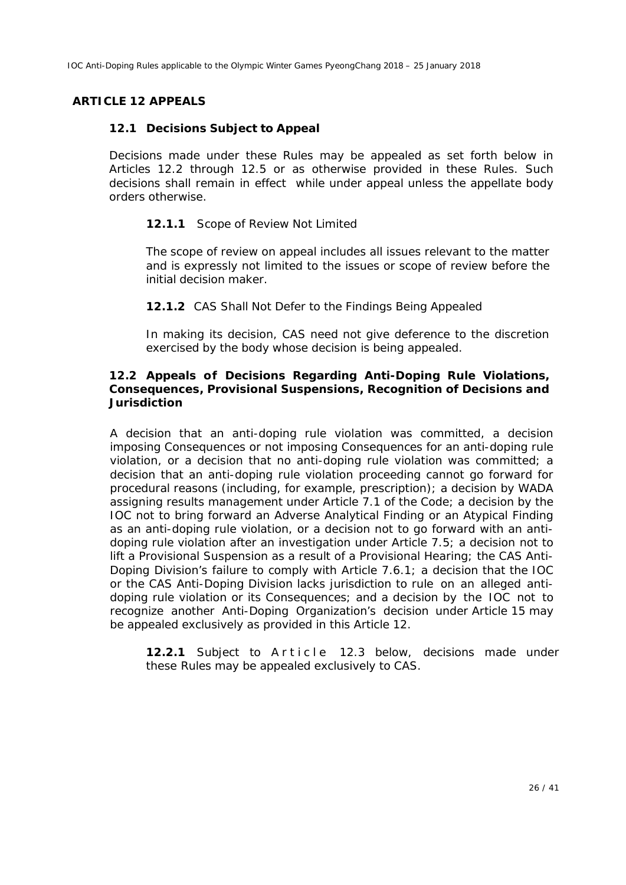#### **ARTICLE 12 APPEALS**

#### **12.1 Decisions Subject to Appeal**

Decisions made under these *Rules* may be appealed as set forth below in Articles 12.2 through 12.5 or as otherwise provided in these *Rules*. Such decisions shall remain in effect while under appeal unless the appellate body orders otherwise.

#### **12.1.1** Scope of Review Not Limited

The scope of review on appeal includes all issues relevant to the matter and is expressly not limited to the issues or scope of review before the initial decision maker.

#### **12.1.2** *CAS* Shall Not Defer to the Findings Being Appealed

In making its decision, *CAS* need not give deference to the discretion exercised by the body whose decision is being appealed.

#### **12.2 Appeals of Decisions Regarding Anti-Doping Rule Violations,** *Consequences***,** *Provisional Suspensions***, Recognition of Decisions and Jurisdiction**

A decision that an anti-doping rule violation was committed, a decision imposing *Consequences* or not imposing *Consequences* for an anti-doping rule violation, or a decision that no anti-doping rule violation was committed; a decision that an anti-doping rule violation proceeding cannot go forward for procedural reasons (including, for example, prescription); a decision by *WADA* assigning results management under Article 7.1 of the *Code*; a decision by the *IOC* not to bring forward an *Adverse Analytical Finding* or an *Atypical Finding* as an anti-doping rule violation, or a decision not to go forward with an antidoping rule violation after an investigation under Article 7.5; a decision not to lift a *Provisional Suspension* as a result of a *Provisional Hearing*; the *CAS Anti*-*Doping Division's* failure to comply with Article 7.6.1; a decision that the *IOC or the CAS Anti-Doping Division* lacks jurisdiction to rule on an alleged antidoping rule violation or its *Consequences;* and a decision by the *IOC* not to recognize another *Anti-Doping Organization's* decision under Article 15 may be appealed exclusively as provided in this Article 12.

**12.2.1** Subject to Article 12.3 below, decisions made under these *Rules* may be appealed exclusively to *CAS.*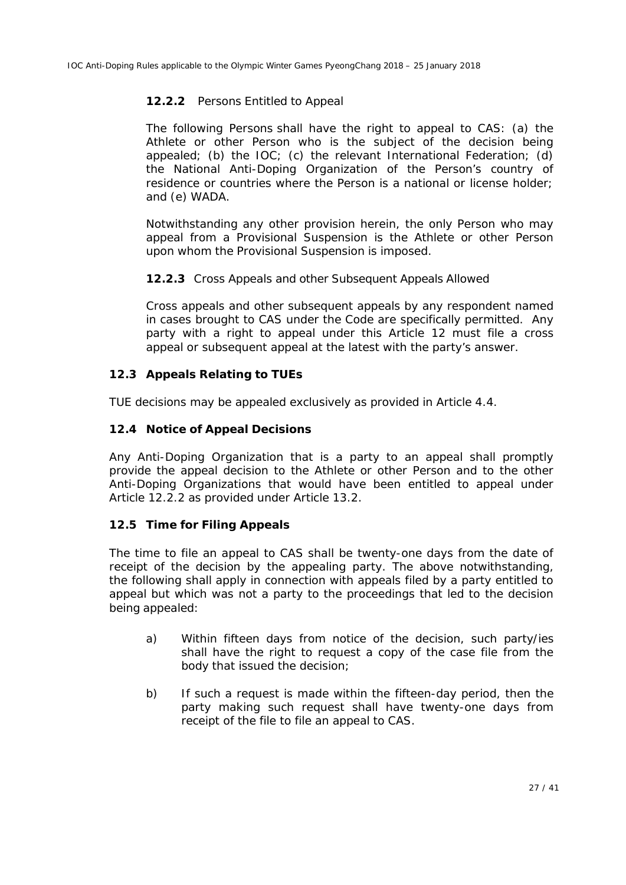#### **12.2.2** *Persons* Entitled to Appeal

The following *Persons* shall have the right to appeal to *CAS*: (a) the *Athlete* or other *Person* who is the subject of the decision being appealed; (b) the *IOC*; (c) the relevant *International Federation*; (d) the *National Anti-Doping Organization* of the *Person's* country of residence or countries where the *Person* is a national or license holder; and (e) *WADA*.

Notwithstanding any other provision herein, the only *Person* who may appeal from a *Provisional Suspension* is the *Athlete* or other *Person* upon whom the *Provisional Suspension* is imposed.

#### **12.2.3** Cross Appeals and other Subsequent Appeals Allowed

Cross appeals and other subsequent appeals by any respondent named in cases brought to *CAS* under the *Code* are specifically permitted*.* Any party with a right to appeal under this Article 12 must file a cross appeal or subsequent appeal at the latest with the party's answer.

#### **12.3 Appeals Relating to** *TUEs*

*TUE* decisions may be appealed exclusively as provided in Article 4.4.

#### **12.4 Notice of Appeal Decisions**

Any *Anti-Doping Organization* that is a party to an appeal shall promptly provide the appeal decision to the *Athlete* or other *Person* and to the other *Anti-Doping Organizations* that would have been entitled to appeal under Article 12.2.2 as provided under Article 13.2.

### **12.5 Time for Filing Appeals**

The time to file an appeal to *CAS* shall be twenty-one days from the date of receipt of the decision by the appealing party. The above notwithstanding, the following shall apply in connection with appeals filed by a party entitled to appeal but which was not a party to the proceedings that led to the decision being appealed:

- a) Within fifteen days from notice of the decision, such party/ies shall have the right to request a copy of the case file from the body that issued the decision;
- b) If such a request is made within the fifteen-day period, then the party making such request shall have twenty-one days from receipt of the file to file an appeal to *CAS*.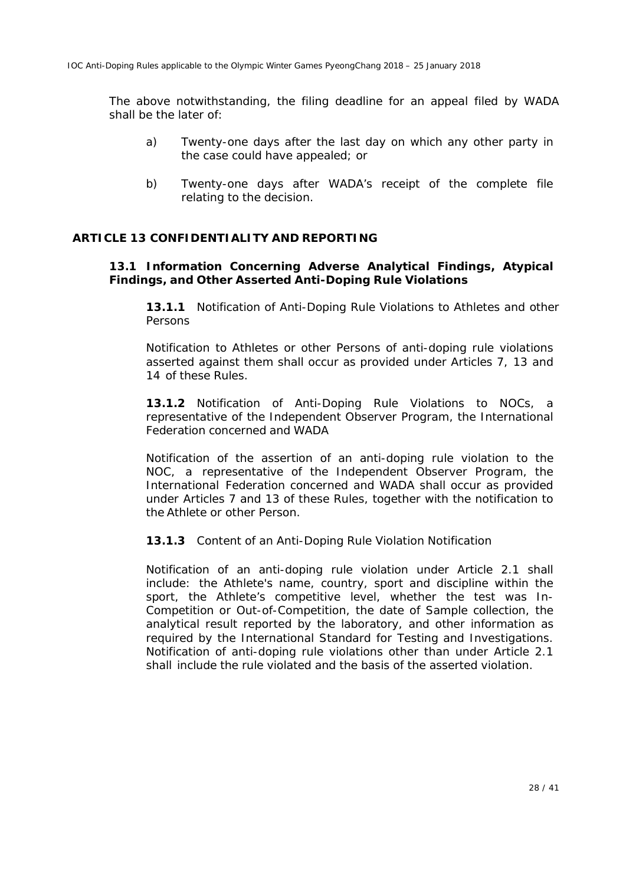The above notwithstanding, the filing deadline for an appeal filed by *WADA*  shall be the later of:

- a) Twenty-one days after the last day on which any other party in the case could have appealed; or
- b) Twenty-one days after *WADA*'s receipt of the complete file relating to the decision.

#### **ARTICLE 13 CONFIDENTIALITY AND REPORTING**

#### **13.1 Information Concerning** *Adverse Analytical Findings***,** *Atypical Findings***, and Other Asserted Anti-Doping Rule Violations**

**13.1.1** Notification of Anti-Doping Rule Violations to *Athletes* and other *Persons*

Notification to *Athletes* or other *Persons* of anti-doping rule violations asserted against them shall occur as provided under Articles 7, 13 and 14 of these *Rules*.

**13.1.2** Notification of Anti-Doping Rule Violations to *NOCs*, a representative of the *Independent Observer Program,* the *International Federation* concerned and *WADA*

Notification of the assertion of an anti-doping rule violation to the *NOC*, a representative of the *Independent Observer Program,* the *International Federation* concerned and *WADA* shall occur as provided under Articles 7 and 13 of these *Rules*, together with the notification to the *Athlete* or other *Person*.

**13.1.3** Content of an Anti-Doping Rule Violation Notification

Notification of an anti-doping rule violation under Article 2.1 shall include: the *Athlete's* name, country, sport and discipline within the sport, the *Athlete's* competitive level, whether the test was *In-Competition* or *Out-of-Competition*, the date of *Sample* collection, the analytical result reported by the laboratory, and other information as required by the International Standard for Testing and Investigations. Notification of anti-doping rule violations other than under Article 2.1 shall include the rule violated and the basis of the asserted violation.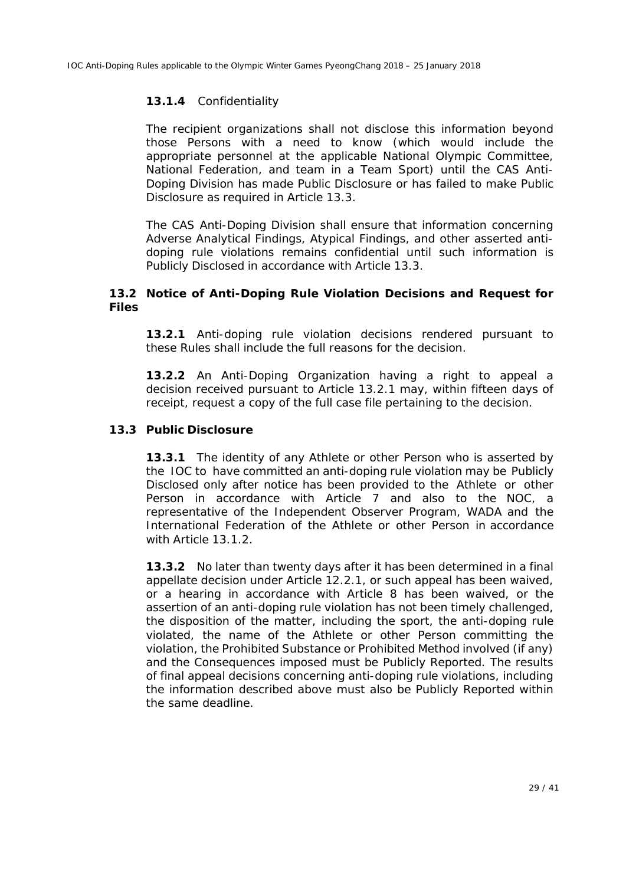#### **13.1.4** Confidentiality

The recipient organizations shall not disclose this information beyond those *Person*s with a need to know (which would include the appropriate personnel at the applicable *National Olympic Committee*, *National Federation*, and team in a *Team Sport*) until the *CAS Anti-Doping Division* has made *Public Disclosure* or has failed to make *Public Disclosure* as required in Article 13.3.

The *CAS Anti-Doping Division* shall ensure that information concerning *Adverse Analytical Findings*, *Atypical Findings*, and other asserted antidoping rule violations remains confidential until such information is *Publicly Disclosed* in accordance with Article 13.3.

#### **13.2 Notice of Anti-Doping Rule Violation Decisions and Request for Files**

**13.2.1** Anti-doping rule violation decisions rendered pursuant to these *Rules* shall include the full reasons for the decision.

**13.2.2** An *Anti-Doping Organization* having a right to appeal a decision received pursuant to Article 13.2.1 may, within fifteen days of receipt, request a copy of the full case file pertaining to the decision.

#### **13.3** *Public Disclosure*

**13.3.1** The identity of any *Athlete* or other *Person* who is asserted by the *IOC* to have committed an anti-doping rule violation may be *Publicly Disclose*d only after notice has been provided to the *Athlete* or other *Person* in accordance with Article 7 and also to the *NOC*, a representative of the *Independent Observer* Program, WADA and the *International Federation* of the *Athlete* or other *Person* in accordance with Article 13.1.2.

**13.3.2** No later than twenty days after it has been determined in a final appellate decision under Article 12.2.1, or such appeal has been waived, or a hearing in accordance with Article 8 has been waived, or the assertion of an anti-doping rule violation has not been timely challenged, the disposition of the matter, including the sport, the anti-doping rule violated, the name of the *Athlete* or other *Person* committing the violation, the *Prohibited Substance* or *Prohibited Method* involved (if any) and the *Consequences* imposed must be *Publicly Reported*. The results of final appeal decisions concerning anti-doping rule violations, including the information described above must also be *Publicly Reported* within the same deadline.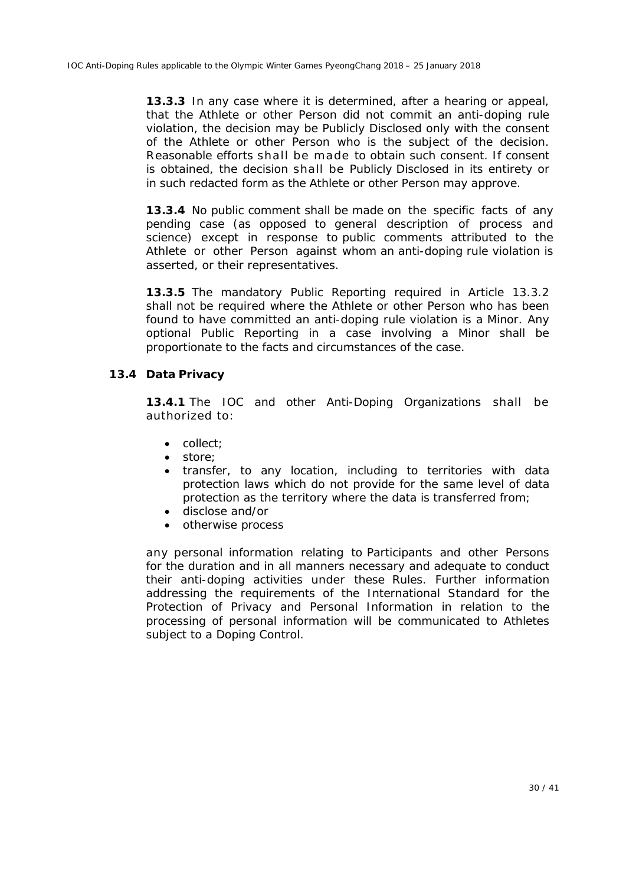**13.3.3** In any case where it is determined, after a hearing or appeal, that the *Athlete* or other *Person* did not commit an anti-doping rule violation, the decision may be *Publicly Disclosed* only with the consent of the *Athlete* or other *Person* who is the subject of the decision. Reasonable efforts shall be made to obtain such consent. If consent is obtained, the decision shall be *Publicly Disclosed* in its entirety or in such redacted form as the *Athlete* or other *Person* may approve.

**13.3.4** No public comment shall be made on the specific facts of any pending case (as opposed to general description of process and science) except in response to public comments attributed to the *Athlete* or other *Person* against whom an anti-doping rule violation is asserted, or their representatives.

**13.3.5** The mandatory *Public Reporting* required in Article 13.3.2 shall not be required where the *Athlete* or other *Person* who has been found to have committed an anti-doping rule violation is a *Minor*. Any optional *Public Reporting* in a case involving a *Minor* shall be proportionate to the facts and circumstances of the case.

#### **13.4 Data Privacy**

**13.4.1** The *IOC* and *other Anti-Doping Organizations* shall be authorized to:

- $\bullet$  collect;
- $\bullet$  store;
- transfer, to any location, including to territories with data protection laws which do not provide for the same level of data protection as the territory where the data is transferred from;
- disclose and/or
- otherwise process

any personal information relating to *Participants* and other *Persons*  for the duration and in all manners necessary and adequate to conduct their anti-doping activities under these *Rules*. Further information addressing the requirements of the International Standard for the Protection of Privacy and Personal Information in relation to the processing of personal information will be communicated to *Athletes* subject to a *Doping Control*.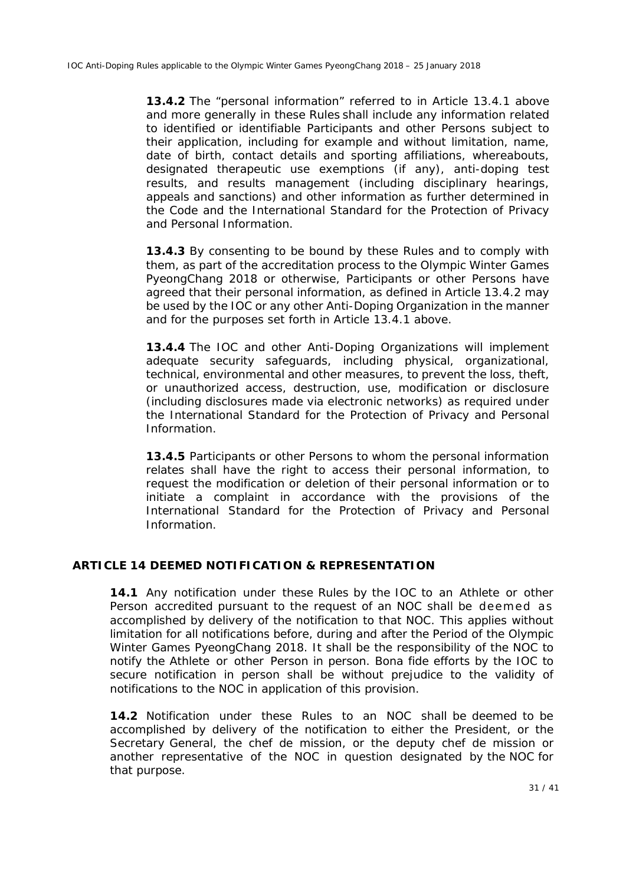**13.4.2** The "personal information" referred to in Article 13.4.1 above and more generally in these *Rules* shall include any information related to identified or identifiable *Participants* and other *Persons* subject to their application, including for example and without limitation, name, date of birth, contact details and sporting affiliations, whereabouts, designated therapeutic use exemptions (if any), anti-doping test results, and results management (including disciplinary hearings, appeals and sanctions) and other information as further determined in the *Code* and the International Standard for the Protection of Privacy and Personal Information.

**13.4.3** By consenting to be bound by these *Rules* and to comply with them, as part of the accreditation process to the *Olympic Winter Games PyeongChang 2018* or otherwise, *Participants* or other *Persons* have agreed that their personal information, as defined in Article 13.4.2 may be used by the *IOC* or any other *Anti*-*Doping Organization* in the manner and for the purposes set forth in Article 13.4.1 above*.*

**13.4.4** The *IOC* and other *Anti-Doping Organizations* will implement adequate security safeguards, including physical, organizational, technical, environmental and other measures, to prevent the loss, theft, or unauthorized access, destruction, use, modification or disclosure (including disclosures made via electronic networks) as required under the International Standard for the Protection of Privacy and Personal Information.

**13.4.5** *Participants* or other *Persons* to whom the personal information relates shall have the right to access their personal information, to request the modification or deletion of their personal information or to initiate a complaint in accordance with the provisions of the International Standard for the Protection of Privacy and Personal Information.

#### **ARTICLE 14 DEEMED NOTIFICATION & REPRESENTATION**

**14.1** Any notification under these *Rules* by the *IOC* to an *Athlete* or other *Person* accredited pursuant to the request of an *NOC* shall be deemed as accomplished by delivery of the notification to that *NOC*. This applies without limitation for all notifications before, during and after the *Period of the Olympic Winter Games PyeongChang 2018.* It shall be the responsibility of the *NOC* to notify the *Athlete* or other *Person* in person. Bona fide efforts by the *IOC* to secure notification in person shall be without prejudice to the validity of notifications to the *NOC* in application of this provision.

**14.2** Notification under these *Rules* to an *NOC* shall be deemed to be accomplished by delivery of the notification to either the President, or the Secretary General, the chef de mission, or the deputy chef de mission or another representative of the *NOC* in question designated by the *NOC* for that purpose.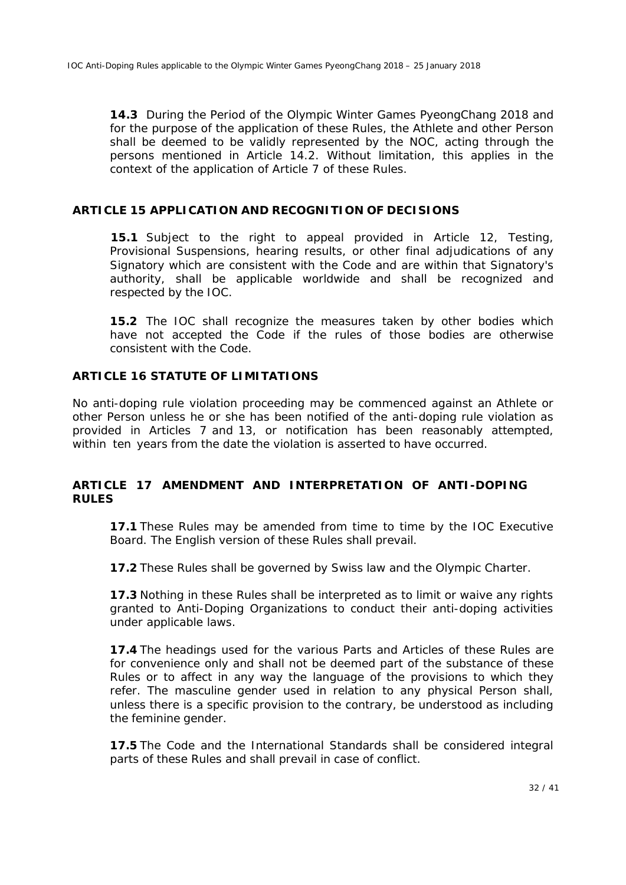**14.3** During the *Period of the Olympic Winter Games PyeongChang 2018* and for the purpose of the application of these *Rules*, the *Athlete* and other *Person*  shall be deemed to be validly represented by the *NOC*, acting through the persons mentioned in Article 14.2. Without limitation, this applies in the context of the application of Article 7 of these Rules.

#### **ARTICLE 15 APPLICATION AND RECOGNITION OF DECISIONS**

**15.1** Subject to the right to appeal provided in Article 12, *Testing*, *Provisional Suspensions*, hearing results, or other final adjudications of any *Signatory* which are consistent with the *Code* and are within that *Signatory's* authority, shall be applicable worldwide and shall be recognized and respected by the *IOC*.

**15.2** The *IOC* shall recognize the measures taken by other bodies which have not accepted the *Code* if the rules of those bodies are otherwise consistent with the *Code*.

#### **ARTICLE 16 STATUTE OF LIMITATIONS**

No anti-doping rule violation proceeding may be commenced against an *Athlete* or other *Person* unless he or she has been notified of the anti-doping rule violation as provided in Articles 7 and 13, or notification has been reasonably attempted, within ten years from the date the violation is asserted to have occurred.

#### **ARTICLE 17 AMENDMENT AND INTERPRETATION OF ANTI-DOPING RULES**

**17.1** These *Rules* may be amended from time to time by the *IOC* Executive Board. The English version of these *Rules* shall prevail.

**17.2** These *Rules* shall be governed by Swiss law and the Olympic Charter.

**17.3** Nothing in these *Rules* shall be interpreted as to limit or waive any rights granted to *Anti-Doping Organizations* to conduct their anti-doping activities under applicable laws.

**17.4** The headings used for the various Parts and Articles of these *Rules* are for convenience only and shall not be deemed part of the substance of these *Rules* or to affect in any way the language of the provisions to which they refer. The masculine gender used in relation to any physical *Person* shall, unless there is a specific provision to the contrary, be understood as including the feminine gender.

**17.5** The *Code* and the *International Standards* shall be considered integral parts of these *Rules* and shall prevail in case of conflict.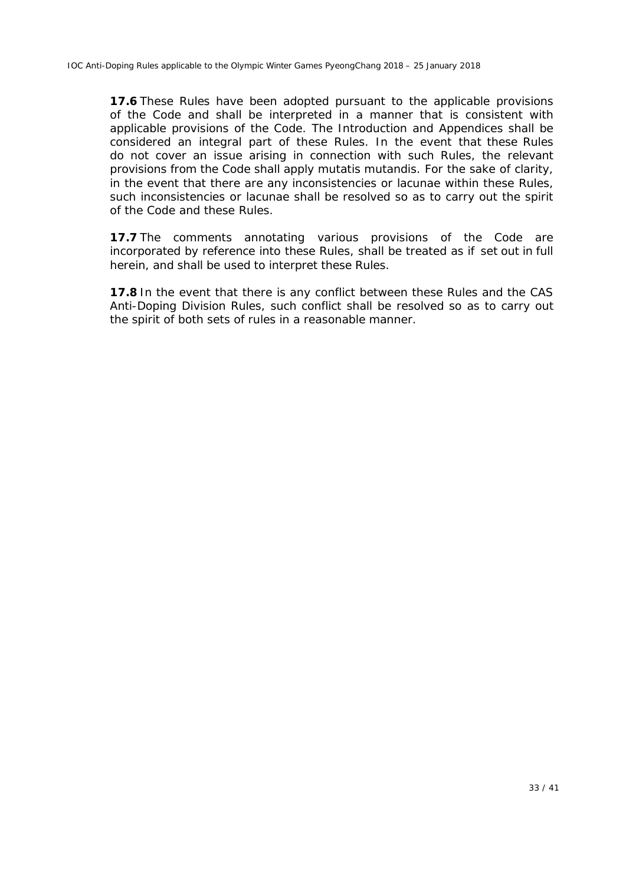**17.6** These *Rules* have been adopted pursuant to the applicable provisions of the *Code* and shall be interpreted in a manner that is consistent with applicable provisions of the *Code*. The Introduction and Appendices shall be considered an integral part of these *Rules*. In the event that these *Rules*  do not cover an issue arising in connection with such *Rules*, the relevant provisions from the *Code* shall apply *mutatis mutandis*. For the sake of clarity, in the event that there are any inconsistencies or lacunae within these *Rules*, such inconsistencies or lacunae shall be resolved so as to carry out the spirit of the *Code* and these *Rules*.

**17.7** The comments annotating various provisions of the *Code* are incorporated by reference into these *Rules*, shall be treated as if set out in full herein, and shall be used to interpret these *Rules*.

**17.8** In the event that there is any conflict between these *Rules* and the *CAS Anti-Doping Division Rules,* such conflict shall be resolved so as to carry out the spirit of both sets of rules in a reasonable manner.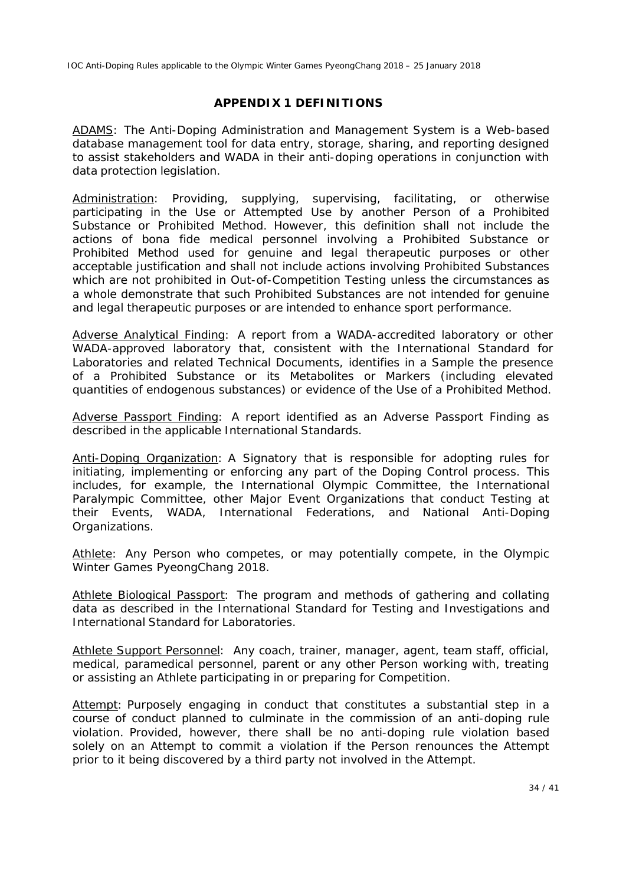#### **APPENDIX 1 DEFINITIONS**

*ADAMS*: The Anti-Doping Administration and Management System is a Web-based database management tool for data entry, storage, sharing, and reporting designed to assist stakeholders and *WADA* in their anti-doping operations in conjunction with data protection legislation.

*Administration*: Providing, supplying, supervising, facilitating, or otherwise participating in the *Use* or *Attempted Use* by another *Person* of a *Prohibited Substance* or *Prohibited Method*. However, this definition shall not include the actions of bona fide medical personnel involving a *Prohibited Substance* or *Prohibited Method* used for genuine and legal therapeutic purposes or other acceptable justification and shall not include actions involving *Prohibited Substances* which are not prohibited in *Out-of-Competition Testing* unless the circumstances as a whole demonstrate that such *Prohibited Substances* are not intended for genuine and legal therapeutic purposes or are intended to enhance sport performance*.*

*Adverse Analytical Finding*: A report from a *WADA*-accredited laboratory or other *WADA*-approved laboratory that, consistent with the International Standard for Laboratories and related Technical Documents, identifies in a *Sample* the presence of a *Prohibited Substance* or its *Metabolites* or *Markers* (including elevated quantities of endogenous substances) or evidence of the *Use* of a *Prohibited Method*.

*Adverse Passport Finding*: A report identified as an *Adverse Passport Finding* as described in the applicable *International Standards*.

*Anti-Doping Organization*: A *Signatory* that is responsible for adopting rules for initiating, implementing or enforcing any part of the *Doping Control* process. This includes, for example, the International Olympic Committee, the International Paralympic Committee, other *Major Event Organizations* that conduct *Testing* at their *Events*, *WADA*, *International Federations*, and *National Anti-Doping Organization*s*.*

*Athlete*: Any *Person* who competes, or may potentially compete, in the *Olympic Winter Games PyeongChang 2018*.

*Athlete Biological Passport*: The program and methods of gathering and collating data as described in the International Standard for Testing and Investigations and International Standard for Laboratories.

*Athlete Support Personnel*: Any coach, trainer, manager, agent, team staff, official, medical, paramedical personnel, parent or any other *Person* working with, treating or assisting an *Athlete* participating in or preparing for *Competition*.

*Attempt*: Purposely engaging in conduct that constitutes a substantial step in a course of conduct planned to culminate in the commission of an anti-doping rule violation. Provided, however, there shall be no anti-doping rule violation based solely on an *Attempt* to commit a violation if the *Person* renounces the *Attempt* prior to it being discovered by a third party not involved in the *Attempt*.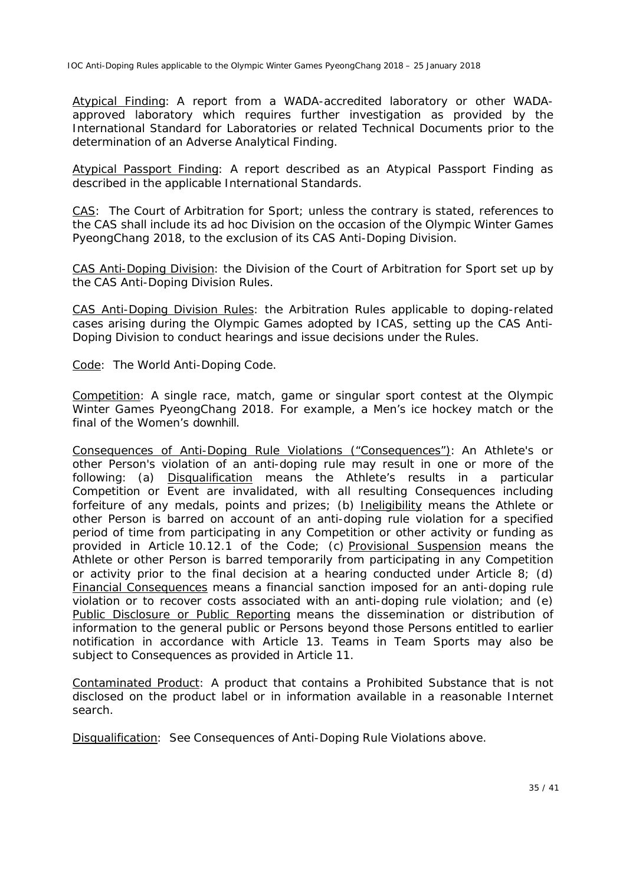*Atypical Finding*: A report from a *WADA*-accredited laboratory or other *WADA*approved laboratory which requires further investigation as provided by the International Standard for Laboratories or related Technical Documents prior to the determination of an *Adverse Analytical Finding*.

*Atypical Passport Finding*: A report described as an *Atypical Passport Finding* as described in the applicable *International Standards*.

*CAS*: The Court of Arbitration for Sport; unless the contrary is stated, references to the *CAS* shall include its ad hoc Division on the occasion of the *Olympic Winter Games PyeongChang 2018,* to the exclusion of its *CAS Anti-Doping Division*.

*CAS Anti-Doping Division:* the Division of the Court of Arbitration for Sport set up by the *CAS Anti-Doping Division Rules.*

*CAS Anti-Doping Division Rules:* the Arbitration Rules applicable to doping-related cases arising during the Olympic Games adopted by ICAS, setting up the *CAS Anti-Doping Division* to conduct hearings and issue decisions under the *Rules.*

*Code*: The World Anti-Doping Code.

*Competition*: A single race, match, game or singular sport contest at the *Olympic Winter Games PyeongChang 2018*. For example, a Men's ice hockey match or the final of the Women's downhill.

*Consequences of Anti-Doping Rule Violations ("Consequences")*: An *Athlete's* or other *Person's* violation of an anti-doping rule may result in one or more of the following: (a) *Disqualification* means the *Athlete's* results in a particular *Competition* or *Event* are invalidated, with all resulting *Consequences* including forfeiture of any medals, points and prizes; (b) *Ineligibility* means the *Athlete* or other *Person* is barred on account of an anti-doping rule violation for a specified period of time from participating in any *Competition* or other activity or funding as provided in Article 10.12.1 of the *Code*; (c) *Provisional Suspension* means the *Athlete* or other *Person* is barred temporarily from participating in any *Competition* or activity prior to the final decision at a hearing conducted under Article 8; (d) *Financial Consequences* means a financial sanction imposed for an anti-doping rule violation or to recover costs associated with an anti-doping rule violation; and (e) *Public Disclosure or Public Reporting* means the dissemination or distribution of information to the general public or *Persons* beyond those *Persons* entitled to earlier notification in accordance with Article 13. Teams in *Team Sports* may also be subject to *Consequences* as provided in Article 11.

*Contaminated Product*: A product that contains a *Prohibited Substance* that is not disclosed on the product label or in information available in a reasonable Internet search.

*Disqualification*: See *Consequences of Anti-Doping Rule Violations* above.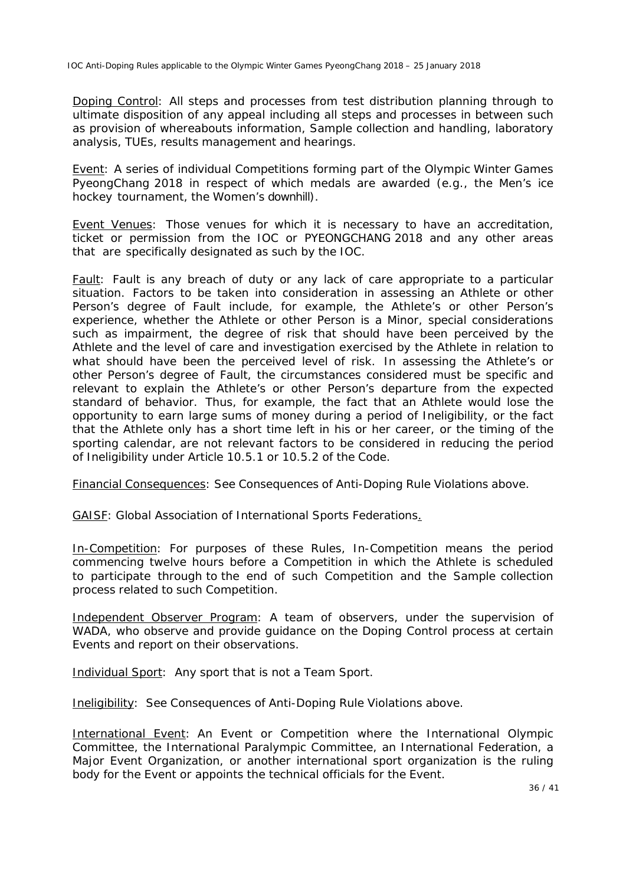*Doping Control*: All steps and processes from test distribution planning through to ultimate disposition of any appeal including all steps and processes in between such as provision of whereabouts information, *Sample* collection and handling, laboratory analysis, *TUEs*, results management and hearings.

*Event*: A series of individual *Competitions* forming part of the *Olympic Winter Games PyeongChang 2018* in respect of which medals are awarded (e.g., the Men's ice hockey tournament, the Women's downhill).

*Event Venues*: Those venues for which it is necessary to have an accreditation, ticket or permission from the *IOC* or *PYEONGCHANG 2018* and any other areas that are specifically designated as such by the *IOC.*

*Fault*: *Fault* is any breach of duty or any lack of care appropriate to a particular situation. Factors to be taken into consideration in assessing an *Athlete* or other *Person's* degree of *Fault* include, for example, the *Athlete's* or other *Person's* experience, whether the *Athlete* or other *Person* is a *Minor*, special considerations such as impairment, the degree of risk that should have been perceived by the *Athlete* and the level of care and investigation exercised by the *Athlete* in relation to what should have been the perceived level of risk. In assessing the *Athlete's* or other *Person's* degree of *Fault*, the circumstances considered must be specific and relevant to explain the *Athlete's* or other *Person's* departure from the expected standard of behavior. Thus, for example, the fact that an *Athlete* would lose the opportunity to earn large sums of money during a period of *Ineligibility,* or the fact that the *Athlete* only has a short time left in his or her career, or the timing of the sporting calendar, are not relevant factors to be considered in reducing the period of *Ineligibility* under Article 10.5.1 or 10.5.2 of the *Code*.

*Financial Consequences*: See *Consequences of Anti-Doping Rule Violations* above.

*GAISF:* Global Association of International Sports Federations*.* 

*In-Competition*: For purposes of these *Rules*, *In-Competition* means the period commencing twelve hours before a *Competition* in which the *Athlete* is scheduled to participate through to the end of such *Competition* and the *Sample* collection process related to such *Competition.*

*Independent Observer Program*: A team of observers, under the supervision of *WADA*, who observe and provide guidance on the *Doping Control* process at certain *Events* and report on their observations.

*Individual Sport*: Any sport that is not a *Team Sport*.

*Ineligibility*: See *Consequences of Anti-Doping Rule Violations* above.

*International Event*: An *Event* or *Competition* where the International Olympic Committee, the International Paralympic Committee, an *International Federation*, a *Major Event Organization,* or another international sport organization is the ruling body for the *Event* or appoints the technical officials for the *Event.*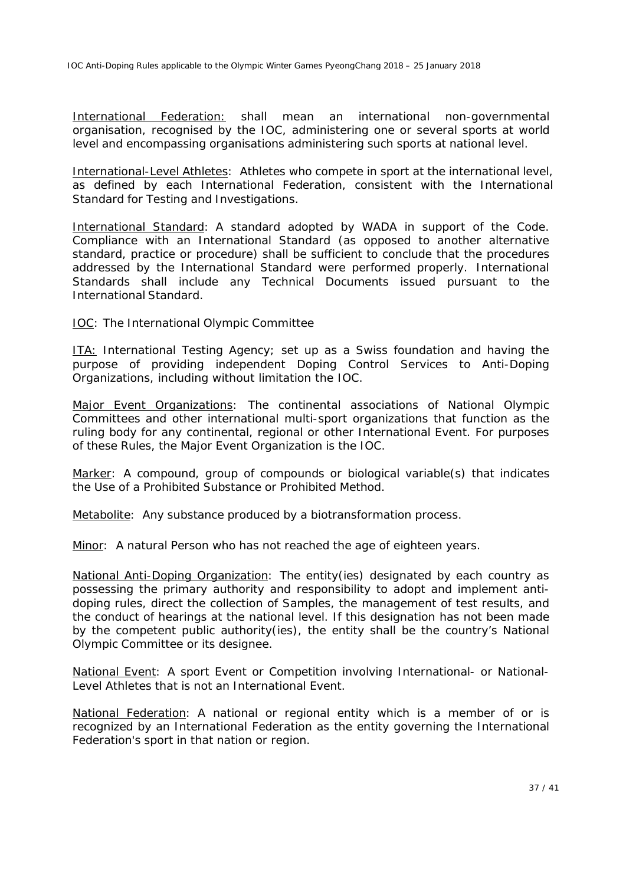*International Federation:* shall mean an international non-governmental organisation, recognised by the IOC, administering one or several sports at world level and encompassing organisations administering such sports at national level.

*International-Level Athletes*: *Athletes* who compete in sport at the international level, as defined by each *International Federation*, consistent with the International Standard for Testing and Investigations.

*International Standard*: A standard adopted by *WADA* in support of the *Code*. Compliance with an *International Standard* (as opposed to another alternative standard, practice or procedure) shall be sufficient to conclude that the procedures addressed by the *International Standard* were performed properly. *International Standards* shall include any Technical Documents issued pursuant to the *International Standard.*

#### *IOC*: The International Olympic Committee

*ITA:* International Testing Agency; set up as a Swiss foundation and having the purpose of providing independent *Doping Control* Services to *Anti-Doping Organizations,* including without limitation the *IOC*.

*Major Event Organizations*: The continental associations of *National Olympic Committee*s and other international multi-sport organizations that function as the ruling body for any continental, regional or other *International Event*. For purposes of these *Rules*, the *Major Event Organization* is the *IOC*.

*Marker*: A compound, group of compounds or biological variable(s) that indicates the *Use* of a *Prohibited Substance* or *Prohibited Method.*

*Metabolite*: Any substance produced by a biotransformation process.

*Minor*: A natural *Person* who has not reached the age of eighteen years.

*National Anti-Doping Organization*: The entity(ies) designated by each country as possessing the primary authority and responsibility to adopt and implement antidoping rules, direct the collection of *Samples*, the management of test results, and the conduct of hearings at the national level. If this designation has not been made by the competent public authority(ies), the entity shall be the country's *National Olympic Committee* or its designee.

*National Event*: A sport *Event* or *Competition* involving *International*- or *National-Level Athletes* that is not an *International Event*.

*National Federation*: A national or regional entity which is a member of or is recognized by an *International Federation* as the entity governing the *International Federation*'s sport in that nation or region.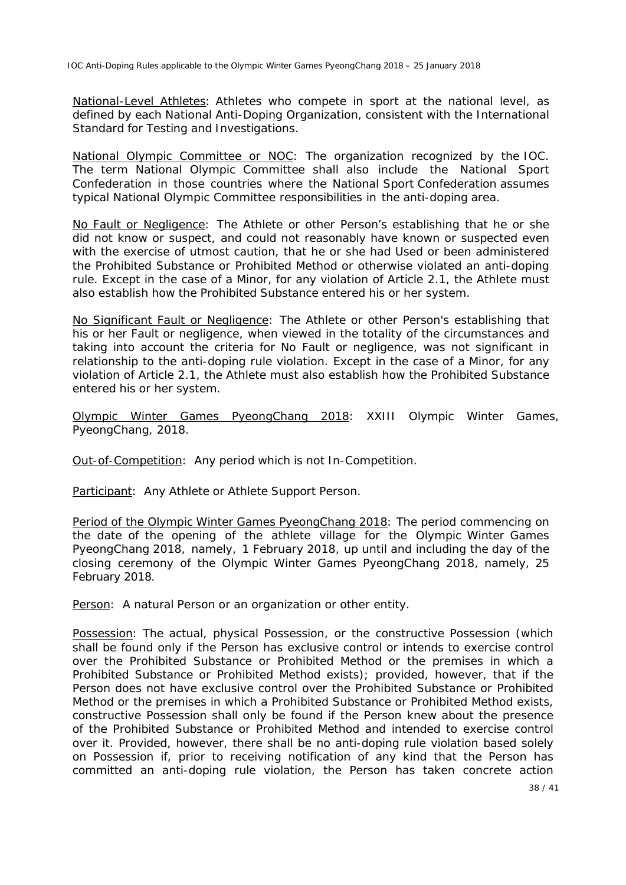*National-Level Athletes*: *Athletes* who compete in sport at the national level, as defined by each *National Anti-Doping Organization,* consistent with the International Standard for Testing and Investigations.

*National Olympic Committee or NOC*: The organization recognized by the *IOC*. The term *National Olympic Committee* shall also include the National Sport Confederation in those countries where the National Sport Confederation assumes typical *National Olympic Committee* responsibilities in the anti-doping area.

*No Fault or Negligence*: The *Athlete* or other *Person's* establishing that he or she did not know or suspect, and could not reasonably have known or suspected even with the exercise of utmost caution, that he or she had *Used* or been administered the *Prohibited Substance* or *Prohibited Method* or otherwise violated an anti-doping rule. Except in the case of a *Minor*, for any violation of Article 2.1, the *Athlete* must also establish how the *Prohibited Substance* entered his or her system.

*No Significant Fault or Negligence*: The *Athlete* or other *Person's* establishing that his or her *Fault* or negligence, when viewed in the totality of the circumstances and taking into account the criteria for *No Fault* or negligence, was not significant in relationship to the anti-doping rule violation. Except in the case of a *Minor*, for any violation of Article 2.1, the *Athlete* must also establish how the *Prohibited Substance* entered his or her system.

*Olympic Winter Games PyeongChang 2018:* XXIII Olympic Winter Games, PyeongChang, 2018.

*Out-of-Competition*: Any period which is not *In-Competition*.

*Participant*: Any *Athlete* or *Athlete Support Person*.

*Period of the Olympic Winter Games PyeongChang 2018*: The period commencing on the date of the opening of the athlete village for the *Olympic Winter Games PyeongChang 2018*, namely, 1 February 2018, up until and including the day of the closing ceremony of the *Olympic Winter Games PyeongChang 2018*, namely, 25 February 2018.

*Person*: A natural *Person* or an organization or other entity.

*Possession*: The actual, physical *Possession*, or the constructive *Possession* (which shall be found only if the *Person* has exclusive control or intends to exercise control over the *Prohibited Substance* or *Prohibited Method* or the premises in which a *Prohibited Substance* or *Prohibited Method* exists); provided, however, that if the *Person* does not have exclusive control over the *Prohibited Substance* or *Prohibited Method* or the premises in which a *Prohibited Substance* or *Prohibited Method* exists, constructive *Possession* shall only be found if the *Person* knew about the presence of the *Prohibited Substance* or *Prohibited Method* and intended to exercise control over it. Provided, however, there shall be no anti-doping rule violation based solely on *Possession* if, prior to receiving notification of any kind that the *Person* has committed an anti-doping rule violation, the *Person* has taken concrete action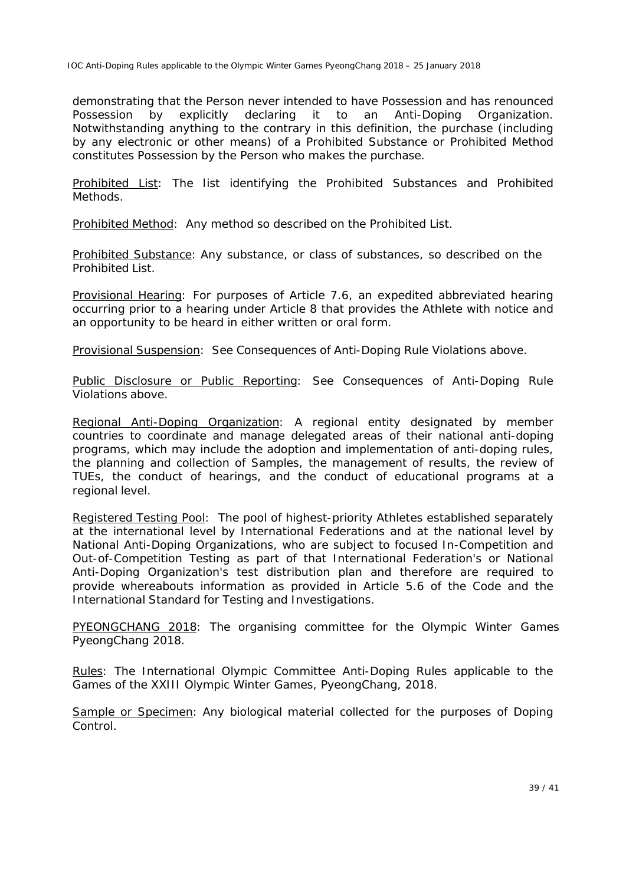demonstrating that the *Person* never intended to have *Possession* and has renounced *Possession* by explicitly declaring it to an *Anti-Doping Organization*. Notwithstanding anything to the contrary in this definition, the purchase (including by any electronic or other means) of a *Prohibited Substance* or *Prohibited Method* constitutes *Possession* by the *Person* who makes the purchase.

*Prohibited List*: The list identifying the *Prohibited Substances* and *Prohibited Methods*.

*Prohibited Method*: Any method so described on the *Prohibited List*.

*Prohibited Substance*: Any substance, or class of substances, so described on the *Prohibited List*.

*Provisional Hearing*: For purposes of Article 7.6, an expedited abbreviated hearing occurring prior to a hearing under Article 8 that provides the *Athlete* with notice and an opportunity to be heard in either written or oral form.

*Provisional Suspension*: See *Consequences* of *Anti-Doping Rule Violations* above.

*Public Disclosure or Public Reporting*: See *Consequences of Anti-Doping Rule Violations* above.

*Regional Anti-Doping Organization*: A regional entity designated by member countries to coordinate and manage delegated areas of their national anti-doping programs, which may include the adoption and implementation of anti-doping rules, the planning and collection of *Samples*, the management of results, the review of *TUEs*, the conduct of hearings, and the conduct of educational programs at a regional level.

*Registered Testing Pool*: The pool of highest-priority *Athletes* established separately at the international level by *International Federations* and at the national level by *National Anti-Doping Organizations,* who are subject to focused *In-Competition* and *Out-of-Competition Testing* as part of that *International Federation*'s or *National Anti-Doping Organization's* test distribution plan and therefore are required to provide whereabouts information as provided in Article 5.6 of the *Code* and the International Standard for Testing and Investigations.

*PYEONGCHANG 2018: The organising committee for the Olympic Winter Games PyeongChang 2018.*

*Rules:* The International Olympic Committee Anti-Doping Rules applicable to the Games of the XXIII Olympic Winter Games, PyeongChang, 2018.

*Sample* or *Specimen*: Any biological material collected for the purposes of *Doping Control*.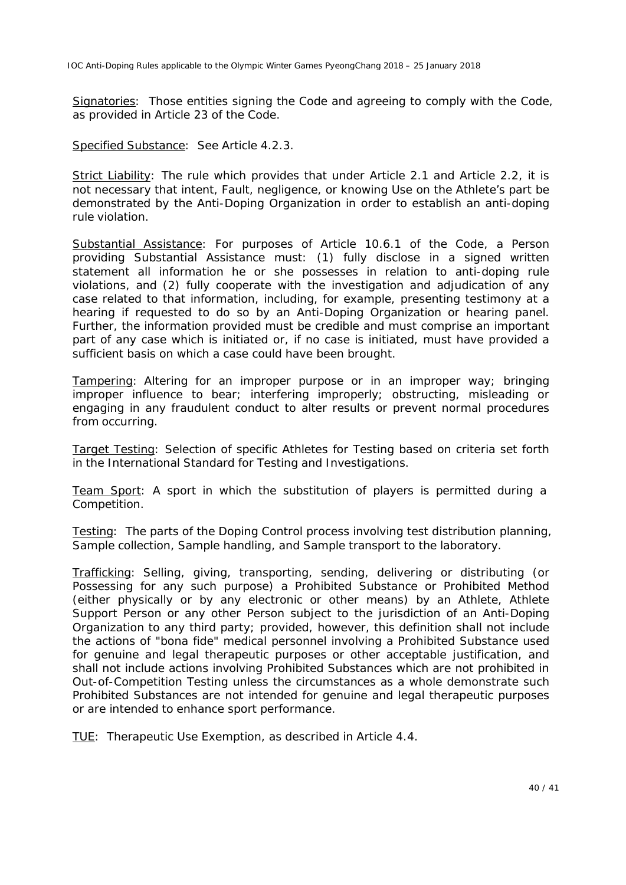*Signatories*: Those entities signing the *Code* and agreeing to comply with the *Code*, as provided in Article 23 of the *Code*.

*Specified Substance*: See Article 4.2.3.

*Strict Liability*: The rule which provides that under Article 2.1 and Article 2.2, it is not necessary that intent, *Fault*, negligence, or knowing *Use* on the *Athlete's* part be demonstrated by the *Anti-Doping Organization* in order to establish an anti-doping rule violation.

*Substantial Assistance*: For purposes of Article 10.6.1 of the *Code*, a *Person* providing *Substantial Assistance* must: (1) fully disclose in a signed written statement all information he or she possesses in relation to anti-doping rule violations, and (2) fully cooperate with the investigation and adjudication of any case related to that information, including, for example, presenting testimony at a hearing if requested to do so by an *Anti-Doping Organization* or hearing panel. Further, the information provided must be credible and must comprise an important part of any case which is initiated or, if no case is initiated, must have provided a sufficient basis on which a case could have been brought.

*Tampering*: Altering for an improper purpose or in an improper way; bringing improper influence to bear; interfering improperly; obstructing, misleading or engaging in any fraudulent conduct to alter results or prevent normal procedures from occurring*.*

*Target Testing*: Selection of specific *Athletes* for *Testing* based on criteria set forth in the International Standard for Testing and Investigations*.*

*Team Sport*: A sport in which the substitution of players is permitted during a *Competition*.

*Testing*: The parts of the *Doping Control* process involving test distribution planning, *Sample* collection, *Sample* handling, and *Sample* transport to the laboratory.

*Trafficking*: Selling, giving, transporting, sending, delivering or distributing (or *Possessing* for any such purpose) a *Prohibited Substance* or *Prohibited Method* (either physically or by any electronic or other means) by an *Athlete*, *Athlete Support Person* or any other *Person* subject to the jurisdiction of an *Anti-Doping Organization* to any third party; provided, however, this definition shall not include the actions of "bona fide" medical personnel involving a *Prohibited Substance* used for genuine and legal therapeutic purposes or other acceptable justification, and shall not include actions involving *Prohibited Substances* which are not prohibited in *Out-of-Competition Testing* unless the circumstances as a whole demonstrate such *Prohibited Substances* are not intended for genuine and legal therapeutic purposes or are intended to enhance sport performance.

*TUE*: Therapeutic Use Exemption, as described in Article 4.4.